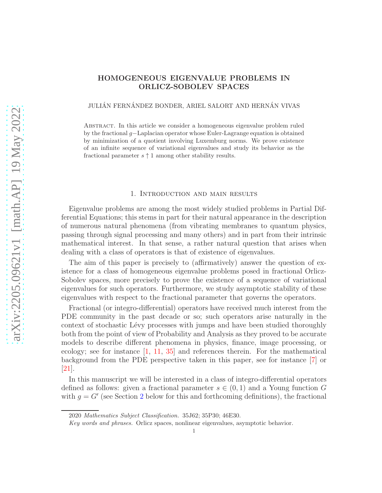# <span id="page-0-0"></span>HOMOGENEOUS EIGENVALUE PROBLEMS IN ORLICZ-SOBOLEV SPACES

## JULIÁN FERNÁNDEZ BONDER, ARIEL SALORT AND HERNÁN VIVAS

Abstract. In this article we consider a homogeneous eigenvalue problem ruled by the fractional g−Laplacian operator whose Euler-Lagrange equation is obtained by minimization of a quotient involving Luxemburg norms. We prove existence of an infinite sequence of variational eigenvalues and study its behavior as the fractional parameter  $s \uparrow 1$  among other stability results.

#### 1. Introduction and main results

Eigenvalue problems are among the most widely studied problems in Partial Differential Equations; this stems in part for their natural appearance in the description of numerous natural phenomena (from vibrating membranes to quantum physics, passing through signal processing and many others) and in part from their intrinsic mathematical interest. In that sense, a rather natural question that arises when dealing with a class of operators is that of existence of eigenvalues.

The aim of this paper is precisely to (affirmatively) answer the question of existence for a class of homogeneous eigenvalue problems posed in fractional Orlicz-Sobolev spaces, more precisely to prove the existence of a sequence of variational eigenvalues for such operators. Furthermore, we study asymptotic stability of these eigenvalues with respect to the fractional parameter that governs the operators.

Fractional (or integro-differential) operators have received much interest from the PDE community in the past decade or so; such operators arise naturally in the context of stochastic Lévy processes with jumps and have been studied thoroughly both from the point of view of Probability and Analysis as they proved to be accurate models to describe different phenomena in physics, finance, image processing, or ecology; see for instance [\[1,](#page-22-0) [11,](#page-23-0) [35\]](#page-24-0) and references therein. For the mathematical background from the PDE perspective taken in this paper, see for instance [\[7\]](#page-23-1) or [\[21\]](#page-23-2).

In this manuscript we will be interested in a class of integro-differential operators defined as follows: given a fractional parameter  $s \in (0,1)$  and a Young function G with  $g = G'$  (see Section [2](#page-4-0) below for this and forthcoming definitions), the fractional

<sup>2020</sup> Mathematics Subject Classification. 35J62; 35P30; 46E30.

Key words and phrases. Orlicz spaces, nonlinear eigenvalues, asymptotic behavior.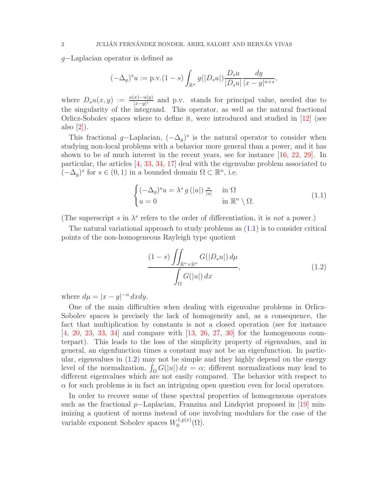<span id="page-1-2"></span>g−Laplacian operator is defined as

$$
(-\Delta_g)^s u := \text{p.v.}(1-s) \int_{\mathbb{R}^n} g(|D_s u|) \frac{D_s u}{|D_s u|} \frac{dy}{|x-y|^{n+s}},
$$

where  $D_s u(x, y) := \frac{u(x) - u(y)}{|x - y|^s}$  and p.v. stands for principal value, needed due to the singularity of the integrand. This operator, as well as the natural fractional Orlicz-Sobolev spaces where to define it, were introduced and studied in [\[12\]](#page-23-3) (see also [\[2\]](#page-22-1)).

This fractional g–Laplacian,  $(-\Delta_g)^s$  is the natural operator to consider when studying non-local problems with a behavior more general than a power, and it has shown to be of much interest in the recent years, see for instance [\[16,](#page-23-4) [22,](#page-23-5) [29\]](#page-24-1). In particular, the articles [\[4,](#page-22-2) [33,](#page-24-2) [34,](#page-24-3) [17\]](#page-23-6) deal with the eigenvalue problem associated to  $(-\Delta_g)$ <sup>s</sup> for *s* ∈ (0, 1) in a bounded domain  $Ω ⊂ ℝ<sup>n</sup>$ , i.e.

$$
\begin{cases}\n(-\Delta_g)^s u = \lambda^s g(|u|) \frac{u}{|u|} & \text{in } \Omega\\ u = 0 & \text{in } \mathbb{R}^n \setminus \Omega.\n\end{cases}
$$
\n(1.1)

(The superscript s in  $\lambda^s$  refers to the order of differentiation, it is not a power.)

The natural variational approach to study problems as [\(1.1\)](#page-1-0) is to consider critical points of the non-homogeneous Rayleigh type quotient

<span id="page-1-1"></span><span id="page-1-0"></span>
$$
\frac{(1-s)\iint_{\mathbb{R}^n\times\mathbb{R}^n} G(|D_s u|) d\mu}{\int_{\Omega} G(|u|) dx},
$$
\n(1.2)

where  $d\mu = |x - y|^{-n} dx dy$ .

One of the main difficulties when dealing with eigenvalue problems in Orlicz-Sobolev spaces is precisely the lack of homogeneity and, as a consequence, the fact that multiplication by constants is not a closed operation (see for instance [\[4,](#page-22-2) [20,](#page-23-7) [23,](#page-23-8) [33,](#page-24-2) [34\]](#page-24-3) and compare with [\[13,](#page-23-9) [26,](#page-23-10) [27,](#page-23-11) [30\]](#page-24-4) for the homogeneous counterpart). This leads to the loss of the simplicity property of eigenvalues, and in general, an eigenfunction times a constant may not be an eigenfunction. In particular, eigenvalues in [\(1.2\)](#page-1-1) may not be simple and they highly depend on the energy level of the normalization,  $\int_{\Omega} G(|u|) dx = \alpha$ ; different normalizations may lead to different eigenvalues which are not easily compared. The behavior with respect to  $\alpha$  for such problems is in fact an intriguing open question even for local operators.

In order to recover some of these spectral properties of homogeneous operators such as the fractional p–Laplacian, Franzina and Lindqvist proposed in [\[19\]](#page-23-12) minimizing a quotient of norms instead of one involving modulars for the case of the variable exponent Sobolev spaces  $W_0^{1,p(x)}$  ${\mathcal C}^{1,p(x)}_{0}(\Omega).$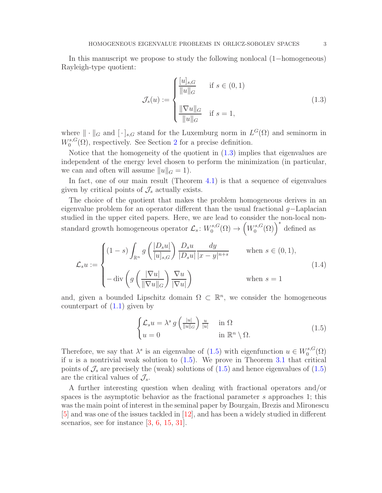<span id="page-2-3"></span>In this manuscript we propose to study the following nonlocal (1−homogeneous) Rayleigh-type quotient:

<span id="page-2-0"></span>
$$
\mathcal{J}_s(u) := \begin{cases} \frac{[u]_{s,G}}{\|u\|_G} & \text{if } s \in (0,1) \\ \frac{\|\nabla u\|_G}{\|u\|_G} & \text{if } s = 1, \end{cases}
$$
(1.3)

where  $\|\cdot\|_G$  and  $[\cdot]_{s,G}$  stand for the Luxemburg norm in  $L^G(\Omega)$  and seminorm in  $W^{s,G}_{0}$  $\mathcal{O}_0^{s,G}(\Omega)$ , respectively. See Section [2](#page-4-0) for a precise definition.

Notice that the homogeneity of the quotient in [\(1.3\)](#page-2-0) implies that eigenvalues are independent of the energy level chosen to perform the minimization (in particular, we can and often will assume  $||u||_G = 1$ .

In fact, one of our main result (Theorem [4.1\)](#page-9-0) is that a sequence of eigenvalues given by critical points of  $\mathcal{J}_s$  actually exists.

The choice of the quotient that makes the problem homogeneous derives in an eigenvalue problem for an operator different than the usual fractional  $q$ −Laplacian studied in the upper cited papers. Here, we are lead to consider the non-local nonstandard growth homogeneous operator  $\mathcal{L}_s$ :  $W_0^{s,G}$  $C_0^{s,G}(\Omega) \rightarrow \left(W_0^{s,G}\right)$  $C_0^{s,G}(\Omega)$ <sup>\*</sup> defined as

<span id="page-2-2"></span>
$$
\mathcal{L}_{s}u := \begin{cases}\n(1-s)\int_{\mathbb{R}^{n}} g\left(\frac{|D_{s}u|}{[u]_{s,G}}\right) \frac{D_{s}u}{|D_{s}u|} \frac{dy}{|x-y|^{n+s}} & \text{when } s \in (0,1), \\
-\text{div}\left(g\left(\frac{|\nabla u|}{\|\nabla u\|_{G}}\right) \frac{\nabla u}{|\nabla u|}\right) & \text{when } s = 1\n\end{cases}
$$
\n(1.4)

and, given a bounded Lipschitz domain  $\Omega \subset \mathbb{R}^n$ , we consider the homogeneous counterpart of  $(1.1)$  given by

<span id="page-2-1"></span>
$$
\begin{cases}\n\mathcal{L}_s u = \lambda^s \, g\left(\frac{|u|}{\|u\|_G}\right) \frac{u}{|u|} & \text{in } \Omega \\
u = 0 & \text{in } \mathbb{R}^n \setminus \Omega.\n\end{cases} \tag{1.5}
$$

Therefore, we say that  $\lambda^s$  is an eigenvalue of [\(1.5\)](#page-2-1) with eigenfunction  $u \in W_0^{s,G}$  $\mathfrak{g}_{0}^{s,G}(\Omega)$ if u is a nontrivial weak solution to  $(1.5)$ . We prove in Theorem [3.1](#page-5-0) that critical points of  $\mathcal{J}_s$  are precisely the (weak) solutions of  $(1.5)$  and hence eigenvalues of  $(1.5)$ are the critical values of  $\mathcal{J}_s$ .

A further interesting question when dealing with fractional operators and/or spaces is the asymptotic behavior as the fractional parameter s approaches 1; this was the main point of interest in the seminal paper by Bourgain, Brezis and Mironescu [\[5\]](#page-23-13) and was one of the issues tackled in [\[12\]](#page-23-3), and has been a widely studied in different scenarios, see for instance [\[3,](#page-22-3) [6,](#page-23-14) [15,](#page-23-15) [31\]](#page-24-5).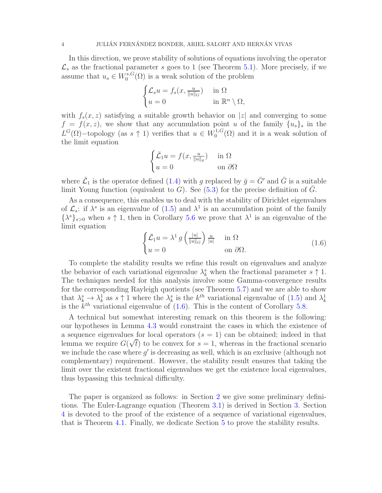In this direction, we prove stability of solutions of equations involving the operator  $\mathcal{L}_s$  as the fractional parameter s goes to 1 (see Theorem [5.1\)](#page-16-0). More precisely, if we assume that  $u_s \in W_0^{s,G}$  $\binom{s}{0}$  is a weak solution of the problem

$$
\begin{cases} \mathcal{L}_s u = f_s(x, \frac{u}{\|u\|_G}) & \text{in } \Omega \\ u = 0 & \text{in } \mathbb{R}^n \setminus \Omega, \end{cases}
$$

with  $f_s(x, z)$  satisfying a suitable growth behavior on |z| and converging to some  $f = f(x, z)$ , we show that any accumulation point u of the family  $\{u_s\}_s$  in the  $L^G(\Omega)$  – topology (as  $s \uparrow 1$ ) verifies that  $u \in W_0^{1,G}$  $_{0}^{1, G}(\Omega)$  and it is a weak solution of the limit equation

$$
\begin{cases} \bar{\mathcal{L}}_1 u = f(x, \frac{u}{\|u\|_g}) & \text{in } \Omega\\ u = 0 & \text{on } \partial\Omega \end{cases}
$$

where  $\bar{\mathcal{L}}_1$  is the operator defined [\(1.4\)](#page-2-2) with g replaced by  $\bar{g} = \bar{G}'$  and  $\bar{G}$  is a suitable limit Young function (equivalent to G). See [\(5.3\)](#page-16-1) for the precise definition of  $\overline{G}$ .

As a consequence, this enables us to deal with the stability of Dirichlet eigenvalues of  $\mathcal{L}_s$ : if  $\lambda^s$  is an eigenvalue of  $(1.5)$  and  $\lambda^1$  is an accumulation point of the family  $\{\lambda^s\}_{s>0}$  when  $s \uparrow 1$ , then in Corollary [5.6](#page-19-0) we prove that  $\lambda^1$  is an eigenvalue of the limit equation

<span id="page-3-0"></span>
$$
\begin{cases} \bar{\mathcal{L}}_1 u = \lambda^1 \, g\left(\frac{|u|}{\|u\|_G}\right) \frac{u}{|u|} & \text{in } \Omega\\ u = 0 & \text{on } \partial\Omega. \end{cases} \tag{1.6}
$$

To complete the stability results we refine this result on eigenvalues and analyze the behavior of each variational eigenvalue  $\lambda_k^s$  when the fractional parameter  $s \uparrow 1$ . The techniques needed for this analysis involve some Gamma-convergence results for the corresponding Rayleigh quotients (see Theorem [5.7\)](#page-20-0) and we are able to show that  $\lambda_k^s \to \lambda_k^1$  as  $s \uparrow 1$  where the  $\lambda_k^s$  is the  $k^{th}$  variational eigenvalue of  $(1.5)$  and  $\lambda_k^1$ is the  $k^{th}$  variational eigenvalue of  $(1.6)$ . This is the content of Corollary [5.8.](#page-22-4)

A technical but somewhat interesting remark on this theorem is the following: our hypotheses in Lemma [4.3](#page-9-1) would constraint the cases in which the existence of a sequence eigenvalues for local operators  $(s = 1)$  can be obtained; indeed in that lemma we require  $G(\sqrt{t})$  to be convex for  $s = 1$ , whereas in the fractional scenario we include the case where  $g'$  is decreasing as well, which is an exclusive (although not complementary) requirement. However, the stability result ensures that taking the limit over the existent fractional eigenvalues we get the existence local eigenvalues, thus bypassing this technical difficulty.

The paper is organized as follows: in Section [2](#page-4-0) we give some preliminary definitions. The Euler-Lagrange equation (Theorem [3.1\)](#page-5-0) is derived in Section [3.](#page-5-1) Section [4](#page-9-2) is devoted to the proof of the existence of a sequence of variational eigenvalues, that is Theorem [4.1.](#page-9-0) Finally, we dedicate Section [5](#page-15-0) to prove the stability results.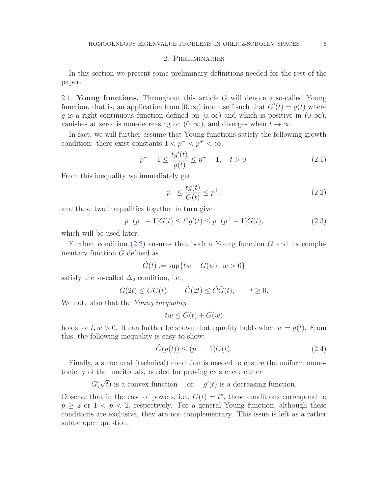# 2. Preliminaries

<span id="page-4-0"></span>In this section we present some preliminary definitions needed for the rest of the paper.

2.1. Young functions. Throughout this article  $G$  will denote a so-called Young function, that is, an application from  $[0, \infty)$  into itself such that  $G'(t) = g(t)$  where q is a right-continuous function defined on  $[0, \infty)$  and which is positive in  $(0, \infty)$ , vanishes at zero, is non-decreasing on  $(0, \infty)$ , and diverges when  $t \to \infty$ .

In fact, we will further assume that Young functions satisfy the following growth condition: there exist constants  $1 < p^- < p^+ < \infty$ 

<span id="page-4-2"></span>
$$
p^{-} - 1 \le \frac{tg'(t)}{g(t)} \le p^{+} - 1, \quad t > 0.
$$
 (2.1)

From this inequality we immediately get

<span id="page-4-1"></span>
$$
p^{-} \le \frac{tg(t)}{G(t)} \le p^{+},\tag{2.2}
$$

and these two inequalities together in turn give

<span id="page-4-4"></span>
$$
p^{-}(p^{-}-1)G(t) \le t^{2}g'(t) \le p^{+}(p^{+}-1)G(t),
$$
\n(2.3)

which will be used later.

Further, condition  $(2.2)$  ensures that both a Young function G and its complementary function  $\tilde{G}$  defined as

$$
\tilde{G}(t) := \sup\{tw - G(w) \colon w > 0\}
$$

satisfy the so-called  $\Delta_2$  condition, i.e.,

$$
G(2t) \le CG(t), \qquad \tilde{G}(2t) \le \tilde{C}\tilde{G}(t), \qquad t \ge 0.
$$

We note also that the Young inequality

$$
tw \leq G(t) + \tilde{G}(w)
$$

holds for  $t, w > 0$ . It can further be shown that equality holds when  $w = g(t)$ . From this, the following inequality is easy to show:

<span id="page-4-3"></span>
$$
\tilde{G}(g(t)) \le (p^+ - 1)G(t). \tag{2.4}
$$

Finally, a structural (technical) condition is needed to ensure the uniform monotonicity of the funcitonals, needed for proving existence: either

 $G(\sqrt{t})$  is a convex function or  $g'(t)$  is a decreasing function.

Observe that in the case of powers, i.e.,  $G(t) = t^p$ , these conditions correspond to  $p > 2$  or  $1 < p < 2$ , respectively. For a general Young function, although these conditions are exclusive, they are not complementary. This issue is left as a rather subtle open question.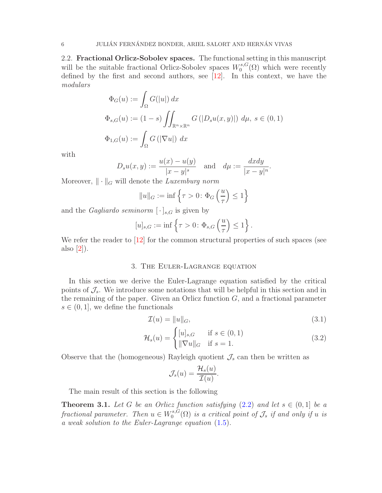<span id="page-5-4"></span>2.2. Fractional Orlicz-Sobolev spaces. The functional setting in this manuscript will be the suitable fractional Orlicz-Sobolev spaces  $W_0^{s,G}$  $\mathcal{O}_0^{s,G}(\Omega)$  which were recently defined by the first and second authors, see [\[12\]](#page-23-3). In this context, we have the modulars

$$
\Phi_G(u) := \int_{\Omega} G(|u|) dx
$$
  

$$
\Phi_{s,G}(u) := (1-s) \iint_{\mathbb{R}^n \times \mathbb{R}^n} G(|D_s u(x, y)|) d\mu, s \in (0, 1)
$$
  

$$
\Phi_{1,G}(u) := \int_{\Omega} G(|\nabla u|) dx
$$

with

$$
D_s u(x, y) := \frac{u(x) - u(y)}{|x - y|^s}
$$
 and 
$$
d\mu := \frac{dxdy}{|x - y|^n}.
$$

Moreover,  $\|\cdot\|_G$  will denote the Luxemburg norm

$$
||u||_G := \inf \left\{ \tau > 0 \colon \Phi_G \left( \frac{u}{\tau} \right) \le 1 \right\}
$$

and the *Gagliardo seminorm*  $[\cdot]_{s,G}$  is given by

$$
[u]_{s,G} := \inf \left\{ \tau > 0 \colon \Phi_{s,G}\left(\frac{u}{\tau}\right) \le 1 \right\}.
$$

<span id="page-5-1"></span>We refer the reader to [\[12\]](#page-23-3) for the common structural properties of such spaces (see also  $[2]$ ).

# 3. The Euler-Lagrange equation

In this section we derive the Euler-Lagrange equation satisfied by the critical points of  $\mathcal{J}_s$ . We introduce some notations that will be helpful in this section and in the remaining of the paper. Given an Orlicz function  $G$ , and a fractional parameter  $s \in (0, 1]$ , we define the functionals

$$
\mathcal{I}(u) = ||u||_G,\tag{3.1}
$$

$$
\mathcal{H}_s(u) = \begin{cases} [u]_{s,G} & \text{if } s \in (0,1) \\ \|\nabla u\|_G & \text{if } s = 1. \end{cases} \tag{3.2}
$$

Observe that the (homogeneous) Rayleigh quotient  $\mathcal{J}_s$  can then be written as

<span id="page-5-3"></span><span id="page-5-2"></span>
$$
\mathcal{J}_s(u) = \frac{\mathcal{H}_s(u)}{\mathcal{I}(u)}.
$$

The main result of this section is the following

<span id="page-5-0"></span>**Theorem 3.1.** Let G be an Orlicz function satisfying  $(2.2)$  and let  $s \in (0,1]$  be a fractional parameter. Then  $u \in W_0^{s,G}$  $\mathcal{O}_0^{s,G}(\Omega)$  is a critical point of  $\mathcal{J}_s$  if and only if u is a weak solution to the Euler-Lagrange equation [\(1.5\)](#page-2-1).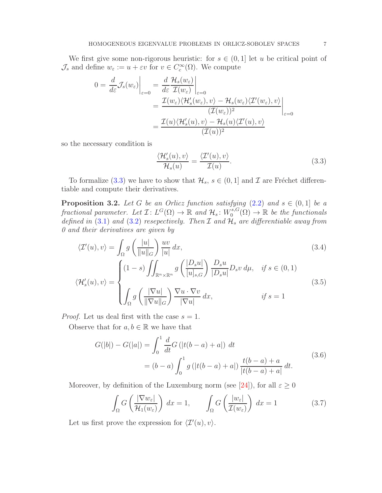<span id="page-6-6"></span>We first give some non-rigorous heuristic: for  $s \in (0,1]$  let u be critical point of  $\mathcal{J}_s$  and define  $w_{\varepsilon} := u + \varepsilon v$  for  $v \in C_c^{\infty}(\Omega)$ . We compute

$$
0 = \frac{d}{d\varepsilon} \mathcal{J}_s(w_\varepsilon) \Big|_{\varepsilon=0} = \frac{d}{d\varepsilon} \frac{\mathcal{H}_s(w_\varepsilon)}{\mathcal{I}(w_\varepsilon)} \Big|_{\varepsilon=0}
$$
  
= 
$$
\frac{\mathcal{I}(w_\varepsilon) \langle \mathcal{H}'_s(w_\varepsilon), v \rangle - \mathcal{H}_s(w_\varepsilon) \langle \mathcal{I}'(w_\varepsilon), v \rangle}{(\mathcal{I}(w_\varepsilon))^2} \Big|_{\varepsilon=0}
$$
  
= 
$$
\frac{\mathcal{I}(u) \langle \mathcal{H}'_s(u), v \rangle - \mathcal{H}_s(u) \langle \mathcal{I}'(u), v \rangle}{(\mathcal{I}(u))^2}
$$

so the necessary condition is

<span id="page-6-4"></span><span id="page-6-3"></span><span id="page-6-0"></span>
$$
\frac{\langle \mathcal{H}_s'(u), v \rangle}{\mathcal{H}_s(u)} = \frac{\langle \mathcal{I}'(u), v \rangle}{\mathcal{I}(u)}.
$$
\n(3.3)

To formalize [\(3.3\)](#page-6-0) we have to show that  $\mathcal{H}_s$ ,  $s \in (0,1]$  and  $\mathcal I$  are Fréchet differentiable and compute their derivatives.

<span id="page-6-5"></span>**Proposition 3.2.** Let G be an Orlicz function satisfying  $(2.2)$  and  $s \in (0,1]$  be a fractional parameter. Let  $\mathcal{I}: L^G(\Omega) \to \mathbb{R}$  and  $\mathcal{H}_s: W_0^{s,G}$  $\mathcal{O}_0^{s,G}(\Omega) \to \mathbb{R}$  be the functionals defined in [\(3.1\)](#page-5-2) and [\(3.2\)](#page-5-3) resepectively. Then  $\mathcal I$  and  $\mathcal H_s$  are differentiable away from 0 and their derivatives are given by

$$
\langle \mathcal{I}'(u), v \rangle = \int_{\Omega} g\left(\frac{|u|}{\|u\|_{G}}\right) \frac{uv}{|u|} dx, \tag{3.4}
$$
\n
$$
\langle \mathcal{H}'_{s}(u), v \rangle = \begin{cases} (1-s) \iint_{\mathbb{R}^{n} \times \mathbb{R}^{n}} g\left(\frac{|D_{s}u|}{[u]_{s,G}}\right) \frac{D_{s}u}{|D_{s}u|} D_{s}v d\mu, & \text{if } s \in (0,1) \end{cases} \tag{3.5}
$$

$$
\int_{\Omega} g\left(\frac{|\nabla u|}{\|\nabla u\|_{G}}\right) \frac{\nabla u \cdot \nabla v}{|\nabla u|} dx, \qquad \text{if } s = 1
$$

*Proof.* Let us deal first with the case  $s = 1$ .

Observe that for  $a, b \in \mathbb{R}$  we have that

$$
G(|b|) - G(|a|) = \int_0^1 \frac{d}{dt} G(|t(b-a) + a|) dt
$$
  
=  $(b-a) \int_0^1 g(|t(b-a) + a|) \frac{t(b-a) + a}{|t(b-a) + a|} dt.$  (3.6)

Moreover, by definition of the Luxemburg norm (see [\[24\]](#page-23-16)), for all  $\varepsilon \geq 0$ 

<span id="page-6-2"></span><span id="page-6-1"></span>
$$
\int_{\Omega} G\left(\frac{|\nabla w_{\varepsilon}|}{\mathcal{H}_1(w_{\varepsilon})}\right) dx = 1, \qquad \int_{\Omega} G\left(\frac{|w_{\varepsilon}|}{\mathcal{I}(w_{\varepsilon})}\right) dx = 1
$$
\n(3.7)

Let us first prove the expression for  $\langle \mathcal{I}'(u), v \rangle$ .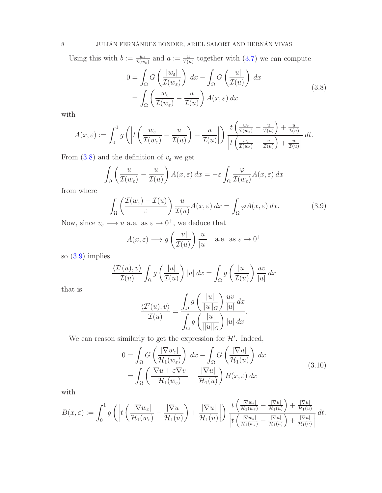Using this with  $b := \frac{w_{\varepsilon}}{\mathcal{I}(w_{\varepsilon})}$  and  $a := \frac{u}{\mathcal{I}(u)}$  together with  $(3.7)$  we can compute

<span id="page-7-0"></span>
$$
0 = \int_{\Omega} G\left(\frac{|w_{\varepsilon}|}{\mathcal{I}(w_{\varepsilon})}\right) dx - \int_{\Omega} G\left(\frac{|u|}{\mathcal{I}(u)}\right) dx
$$
  
= 
$$
\int_{\Omega} \left(\frac{w_{\varepsilon}}{\mathcal{I}(w_{\varepsilon})} - \frac{u}{\mathcal{I}(u)}\right) A(x, \varepsilon) dx
$$
 (3.8)

with

$$
A(x,\varepsilon) := \int_0^1 g\left(\left|t\left(\frac{w_\varepsilon}{\mathcal{I}(w_\varepsilon)} - \frac{u}{\mathcal{I}(u)}\right) + \frac{u}{\mathcal{I}(u)}\right|\right) \frac{t\left(\frac{w_\varepsilon}{\mathcal{I}(w_\varepsilon)} - \frac{u}{\mathcal{I}(u)}\right) + \frac{u}{\mathcal{I}(u)}}{\left|t\left(\frac{w_\varepsilon}{\mathcal{I}(w_\varepsilon)} - \frac{u}{\mathcal{I}(u)}\right) + \frac{u}{\mathcal{I}(u)}\right|} dt.
$$

From [\(3.8\)](#page-7-0) and the definition of  $v_\varepsilon$  we get

$$
\int_{\Omega} \left( \frac{u}{\mathcal{I}(w_{\varepsilon})} - \frac{u}{\mathcal{I}(u)} \right) A(x, \varepsilon) dx = -\varepsilon \int_{\Omega} \frac{\varphi}{\mathcal{I}(w_{\varepsilon})} A(x, \varepsilon) dx
$$

from where

<span id="page-7-1"></span>
$$
\int_{\Omega} \left( \frac{\mathcal{I}(w_{\varepsilon}) - \mathcal{I}(u)}{\varepsilon} \right) \frac{u}{\mathcal{I}(u)} A(x, \varepsilon) dx = \int_{\Omega} \varphi A(x, \varepsilon) dx. \tag{3.9}
$$

Now, since  $v_{\varepsilon} \longrightarrow u$  a.e. as  $\varepsilon \longrightarrow 0^+$ , we deduce that

$$
A(x,\varepsilon) \longrightarrow g\left(\frac{|u|}{\mathcal{I}(u)}\right) \frac{u}{|u|}
$$
 a.e. as  $\varepsilon \to 0^+$ 

so [\(3.9\)](#page-7-1) implies

$$
\frac{\langle \mathcal{T}'(u), v \rangle}{\mathcal{I}(u)} \int_{\Omega} g\left(\frac{|u|}{\mathcal{I}(u)}\right) |u| \, dx = \int_{\Omega} g\left(\frac{|u|}{\mathcal{I}(u)}\right) \frac{uv}{|u|} \, dx
$$

that is

<span id="page-7-2"></span>
$$
\frac{\langle \mathcal{T}'(u), v \rangle}{\mathcal{T}(u)} = \frac{\int_{\Omega} g\left(\frac{|u|}{\|u\|_G}\right) \frac{uv}{|u|} dx}{\int_{\Omega} g\left(\frac{|u|}{\|u\|_G}\right) |u| dx}.
$$

We can reason similarly to get the expression for  $\mathcal{H}'$ . Indeed,

$$
0 = \int_{\Omega} G\left(\frac{|\nabla w_{\varepsilon}|}{\mathcal{H}_1(w_{\varepsilon})}\right) dx - \int_{\Omega} G\left(\frac{|\nabla u|}{\mathcal{H}_1(u)}\right) dx
$$
  
= 
$$
\int_{\Omega} \left(\frac{|\nabla u + \varepsilon \nabla v|}{\mathcal{H}_1(w_{\varepsilon})} - \frac{|\nabla u|}{\mathcal{H}_1(u)}\right) B(x, \varepsilon) dx
$$
 (3.10)

with

$$
B(x,\varepsilon) := \int_0^1 g\left(\left|t\left(\frac{|\nabla w_\varepsilon|}{\mathcal{H}_1(w_\varepsilon)} - \frac{|\nabla u|}{\mathcal{H}_1(u)}\right) + \frac{|\nabla u|}{\mathcal{H}_1(u)}\right|\right) \frac{t\left(\frac{|\nabla w_\varepsilon|}{\mathcal{H}_1(w_\varepsilon)} - \frac{|\nabla u|}{\mathcal{H}_1(u)}\right) + \frac{|\nabla u|}{\mathcal{H}_1(u)}}{\left|t\left(\frac{|\nabla w_\varepsilon|}{\mathcal{H}_1(w_\varepsilon)} - \frac{|\nabla u|}{\mathcal{H}_1(u)}\right) + \frac{|\nabla u|}{\mathcal{H}_1(u)}\right|} dt.
$$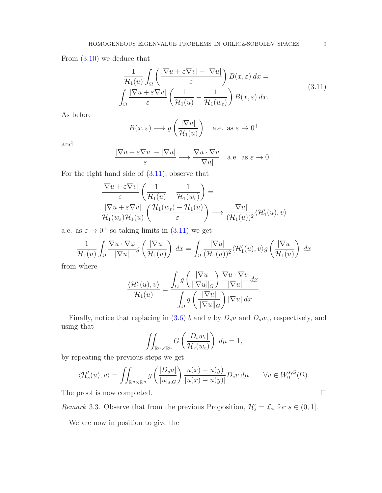<span id="page-8-0"></span>From [\(3.10\)](#page-7-2) we deduce that

$$
\frac{1}{\mathcal{H}_1(u)} \int_{\Omega} \left( \frac{|\nabla u + \varepsilon \nabla v| - |\nabla u|}{\varepsilon} \right) B(x, \varepsilon) dx =
$$
\n
$$
\int_{\Omega} \frac{|\nabla u + \varepsilon \nabla v|}{\varepsilon} \left( \frac{1}{\mathcal{H}_1(u)} - \frac{1}{\mathcal{H}_1(w_{\varepsilon})} \right) B(x, \varepsilon) dx.
$$
\n(3.11)

As before

$$
B(x,\varepsilon) \longrightarrow g\left(\frac{|\nabla u|}{\mathcal{H}_1(u)}\right)
$$
 a.e. as  $\varepsilon \to 0^+$ 

and

$$
\frac{|\nabla u + \varepsilon \nabla v| - |\nabla u|}{\varepsilon} \longrightarrow \frac{\nabla u \cdot \nabla v}{|\nabla u|} \quad \text{a.e. as } \varepsilon \to 0^+
$$

For the right hand side of [\(3.11\)](#page-8-0), observe that

$$
\frac{|\nabla u + \varepsilon \nabla v|}{\varepsilon} \left( \frac{1}{\mathcal{H}_1(u)} - \frac{1}{\mathcal{H}_1(w_{\varepsilon})} \right) =
$$
  

$$
\frac{|\nabla u + \varepsilon \nabla v|}{\mathcal{H}_1(w_{\varepsilon}) \mathcal{H}_1(u)} \left( \frac{\mathcal{H}_1(w_{\varepsilon}) - \mathcal{H}_1(u)}{\varepsilon} \right) \longrightarrow \frac{|\nabla u|}{(\mathcal{H}_1(u))^2} \langle \mathcal{H}_1'(u), v \rangle
$$

a.e. as  $\varepsilon \to 0^+$  so taking limits in  $(3.11)$  we get

$$
\frac{1}{\mathcal{H}_1(u)} \int_{\Omega} \frac{\nabla u \cdot \nabla \varphi}{|\nabla u|} g\left(\frac{|\nabla u|}{\mathcal{H}_1(u)}\right) dx = \int_{\Omega} \frac{|\nabla u|}{(\mathcal{H}_1(u))^2} \langle \mathcal{H}'_1(u), v \rangle g\left(\frac{|\nabla u|}{\mathcal{H}_1(u)}\right) dx
$$

from where

$$
\frac{\langle \mathcal{H}_1'(u), v \rangle}{\mathcal{H}_1(u)} = \frac{\int_{\Omega} g\left(\frac{|\nabla u|}{\|\nabla u\|_G}\right) \frac{\nabla u \cdot \nabla v}{|\nabla u|} dx}{\int_{\Omega} g\left(\frac{|\nabla u|}{\|\nabla u\|_G}\right) |\nabla u| dx}
$$

.

Finally, notice that replacing in [\(3.6\)](#page-6-2) b and a by  $D_s u$  and  $D_s w_{\varepsilon}$ , respectively, and using that

$$
\iint_{\mathbb{R}^n \times \mathbb{R}^n} G\left(\frac{|D_s w_\varepsilon|}{\mathcal{H}_s(w_\varepsilon)}\right) d\mu = 1,
$$

by repeating the previous steps we get

$$
\langle \mathcal{H}'_s(u), v \rangle = \iint_{\mathbb{R}^n \times \mathbb{R}^n} g\left(\frac{|D_s u|}{[u]_{s,G}}\right) \frac{u(x) - u(y)}{|u(x) - u(y)|} D_s v \, d\mu \qquad \forall v \in W_0^{s,G}(\Omega).
$$

The proof is now completed.

Remark 3.3. Observe that from the previous Proposition,  $\mathcal{H}'_s = \mathcal{L}_s$  for  $s \in (0, 1]$ .

We are now in position to give the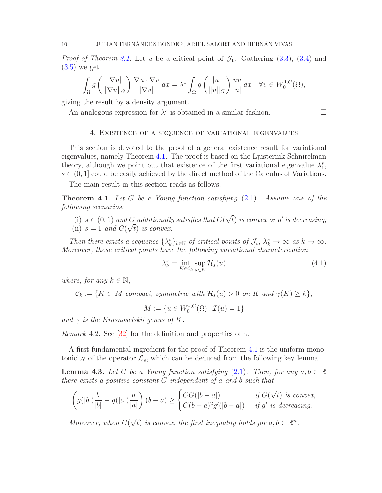<span id="page-9-4"></span>*Proof of Theorem [3.1.](#page-5-0)* Let u be a critical point of  $\mathcal{J}_1$ . Gathering [\(3.3\)](#page-6-0), [\(3.4\)](#page-6-3) and  $(3.5)$  we get

$$
\int_{\Omega} g\left(\frac{|\nabla u|}{\|\nabla u\|_{G}}\right) \frac{\nabla u \cdot \nabla v}{|\nabla u|} dx = \lambda^{1} \int_{\Omega} g\left(\frac{|u|}{\|u\|_{G}}\right) \frac{uv}{|u|} dx \quad \forall v \in W_{0}^{1,G}(\Omega),
$$

giving the result by a density argument.

<span id="page-9-2"></span>An analogous expression for  $\lambda^s$  is obtained in a similar fashion.

# 4. Existence of a sequence of variational eigenvalues

This section is devoted to the proof of a general existence result for variational eigenvalues, namely Theorem [4.1.](#page-9-0) The proof is based on the Ljusternik-Schnirelman theory, although we point out that existence of the first variational eigenvalue  $\lambda_1^s$ ,  $s \in (0, 1]$  could be easily achieved by the direct method of the Calculus of Variations.

The main result in this section reads as follows:

<span id="page-9-0"></span>**Theorem 4.1.** Let G be a Young function satisfying  $(2.1)$ . Assume one of the following scenarios:

- (i)  $s \in (0, 1)$  and G additionally satisfies that  $G(\sqrt{t})$  is convex or g' is decreasing;
- (ii)  $s = 1$  and  $G(\sqrt{t})$  is convex.

Then there exists a sequence  $\{\lambda_k^s\}_{k\in\mathbb{N}}$  of critical points of  $\mathcal{J}_s$ ,  $\lambda_k^s \to \infty$  as  $k \to \infty$ . Moreover, these critical points have the following variational characterization

<span id="page-9-3"></span>
$$
\lambda_k^s = \inf_{K \in \mathcal{C}_k} \sup_{u \in K} \mathcal{H}_s(u) \tag{4.1}
$$

where, for any  $k \in \mathbb{N}$ ,

 $\mathcal{C}_k := \{K \subset M \text{ compact, symmetric with } \mathcal{H}_s(u) > 0 \text{ on } K \text{ and } \gamma(K) \geq k\},\$ 

 $M := \{u \in W_0^{s,G}\}$  $\mathcal{I}_0^{s,\mathbf{G}}(\Omega)$ :  $\mathcal{I}(u)=1\}$ 

and  $\gamma$  is the Krasnoselskii genus of K.

*Remark* 4.2. See [\[32\]](#page-24-6) for the definition and properties of  $\gamma$ .

A first fundamental ingredient for the proof of Theorem [4.1](#page-9-0) is the uniform monotonicity of the operator  $\mathcal{L}_s$ , which can be deduced from the following key lemma.

<span id="page-9-1"></span>**Lemma 4.3.** Let G be a Young function satisfying [\(2.1\)](#page-4-2). Then, for any  $a, b \in \mathbb{R}$ there exists a positive constant  $C$  independent of a and b such that

$$
\left(g(|b|)\frac{b}{|b|} - g(|a|)\frac{a}{|a|}\right)(b-a) \ge \begin{cases} CG(|b-a|) & \text{if } G(\sqrt{t}) \text{ is convex,} \\ C(b-a)^2g'(|b-a|) & \text{if } g' \text{ is decreasing.} \end{cases}
$$

Moreover, when  $G(\sqrt{t})$  is convex, the first inequality holds for  $a, b \in \mathbb{R}^n$ .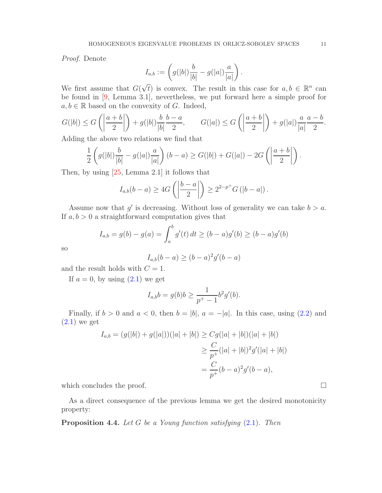<span id="page-10-1"></span>Proof. Denote

$$
I_{a,b} := \left(g(|b|)\frac{b}{|b|} - g(|a|)\frac{a}{|a|}\right).
$$

We first assume that  $G(\sqrt{t})$  is convex. The result in this case for  $a, b \in \mathbb{R}^n$  can be found in [\[9,](#page-23-17) Lemma 3.1], nevertheless, we put forward here a simple proof for  $a, b \in \mathbb{R}$  based on the convexity of G. Indeed,

$$
G(|b|) \le G\left(\left|\frac{a+b}{2}\right|\right) + g(|b|)\frac{b-b-a}{|b|}\frac{b-a}{2}, \qquad G(|a|) \le G\left(\left|\frac{a+b}{2}\right|\right) + g(|a|)\frac{a-a-b}{|a|}\frac{b-a-b}{2}.
$$

Adding the above two relations we find that

$$
\frac{1}{2} \left( g(|b|) \frac{b}{|b|} - g(|a|) \frac{a}{|a|} \right) (b-a) \ge G(|b|) + G(|a|) - 2G\left( \left| \frac{a+b}{2} \right| \right).
$$

Then, by using [\[25,](#page-23-18) Lemma 2.1] it follows that

$$
I_{a,b}(b-a) \geq 4G\left(\left|\frac{b-a}{2}\right|\right) \geq 2^{2-p^{+}}G\left(\left|b-a\right|\right).
$$

Assume now that  $g'$  is decreasing. Without loss of generality we can take  $b > a$ . If  $a, b > 0$  a straightforward computation gives that

$$
I_{a,b} = g(b) - g(a) = \int_a^b g'(t) dt \ge (b - a)g'(b) \ge (b - a)g'(b)
$$

so

$$
I_{a,b}(b-a) \ge (b-a)^2 g'(b-a)
$$

and the result holds with  $C = 1$ .

If  $a = 0$ , by using  $(2.1)$  we get

$$
I_{a,b}b = g(b)b \ge \frac{1}{p^+ - 1}b^2g'(b).
$$

Finally, if  $b > 0$  and  $a < 0$ , then  $b = |b|$ ,  $a = -|a|$ . In this case, using [\(2.2\)](#page-4-1) and  $(2.1)$  we get

$$
I_{a,b} = (g(|b|) + g(|a|))(|a| + |b|) \ge Cg(|a| + |b|)(|a| + |b|)
$$
  
\n
$$
\ge \frac{C}{p^+}(|a| + |b|)^2 g'(|a| + |b|)
$$
  
\n
$$
= \frac{C}{p^+} (b - a)^2 g' (b - a),
$$

which concludes the proof.  $\Box$ 

As a direct consequence of the previous lemma we get the desired monotonicity property:

<span id="page-10-0"></span>**Proposition 4.4.** Let G be a Young function satisfying  $(2.1)$ . Then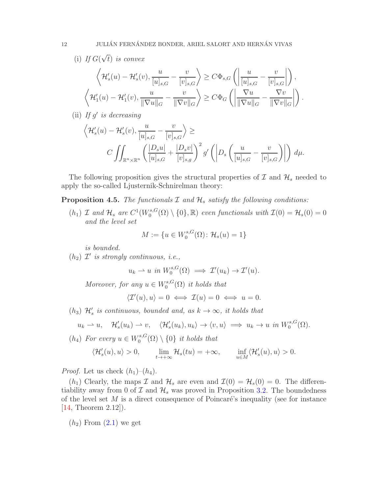# <span id="page-11-1"></span>(i) If  $G(\sqrt{t})$  is convex

$$
\left\langle \mathcal{H}'_s(u) - \mathcal{H}'_s(v), \frac{u}{[u]_{s,G}} - \frac{v}{[v]_{s,G}} \right\rangle \geq C\Phi_{s,G} \left( \left| \frac{u}{[u]_{s,G}} - \frac{v}{[v]_{s,G}} \right| \right),
$$
  

$$
\left\langle \mathcal{H}'_1(u) - \mathcal{H}'_1(v), \frac{u}{\|\nabla u\|_G} - \frac{v}{\|\nabla v\|_G} \right\rangle \geq C\Phi_G \left( \left| \frac{\nabla u}{\|\nabla u\|_G} - \frac{\nabla v}{\|\nabla v\|_G} \right| \right).
$$

(ii) If  $g'$  is decreasing

$$
\left\langle \mathcal{H}'_s(u) - \mathcal{H}'_s(v), \frac{u}{[u]_{s,G}} - \frac{v}{[v]_{s,G}} \right\rangle \ge
$$
  

$$
C \iint_{\mathbb{R}^n \times \mathbb{R}^n} \left( \frac{|D_s u|}{[u]_{s,G}} + \frac{|D_s v|}{[v]_{s,g}} \right)^2 g' \left( \left| D_s \left( \frac{u}{[u]_{s,G}} - \frac{v}{[v]_{s,G}} \right) \right| \right) d\mu.
$$

The following proposition gives the structural properties of  $\mathcal I$  and  $\mathcal H_s$  needed to apply the so-called Ljusternik-Schnirelman theory:

<span id="page-11-0"></span>**Proposition 4.5.** The functionals  $I$  and  $H_s$  satisfy the following conditions:

 $(h_1)$  *I* and  $\mathcal{H}_s$  are  $C^1(W_0^{s,G})$  $\mathcal{O}_0^{s,G}(\Omega) \setminus \{0\}, \mathbb{R})$  even functionals with  $\mathcal{I}(0) = \mathcal{H}_s(0) = 0$ and the level set

$$
M := \{ u \in W_0^{s, G}(\Omega) : \mathcal{H}_s(u) = 1 \}
$$

is bounded.

 $(h_2)$   $\mathcal{I}'$  is strongly continuous, i.e.,

 $u_k \rightharpoonup u$  in  $W_0^{s,G}$  $\mathcal{I}'^{s,G}(\Omega) \implies \mathcal{I}'(u_k) \to \mathcal{I}'(u).$ 

Moreover, for any  $u \in W_0^{s,G}$  $\mathcal{C}_0^{s,G}(\Omega)$  it holds that

$$
\langle \mathcal{I}'(u), u \rangle = 0 \iff \mathcal{I}(u) = 0 \iff u = 0.
$$

 $(h_3)$   $\mathcal{H}'_s$  is continuous, bounded and, as  $k \to \infty$ , it holds that

$$
u_k \rightharpoonup u, \quad \mathcal{H}'_s(u_k) \rightharpoonup v, \quad \langle \mathcal{H}'_s(u_k), u_k \rangle \rightharpoonup \langle v, u \rangle \implies u_k \rightharpoonup u \text{ in } W_0^{s, G}(\Omega).
$$

 $(h_4)$  For every  $u \in W_0^{s,G}$  $\{0\}\setminus\{0\}$  it holds that

$$
\langle \mathcal{H}'_s(u), u \rangle > 0, \qquad \lim_{t \to +\infty} \mathcal{H}_s(tu) = +\infty, \qquad \inf_{u \in M} \langle \mathcal{H}'_s(u), u \rangle > 0.
$$

*Proof.* Let us check  $(h_1)$ – $(h_4)$ .

 $(h_1)$  Clearly, the maps  $\mathcal I$  and  $\mathcal H_s$  are even and  $\mathcal I(0) = \mathcal H_s(0) = 0$ . The differentiability away from 0 of  $\mathcal I$  and  $\mathcal H_s$  was proved in Proposition [3.2.](#page-6-5) The boundedness of the level set  $M$  is a direct consequence of Poincaré's inequality (see for instance [\[14,](#page-23-19) Theorem 2.12]).

 $(h_2)$  From  $(2.1)$  we get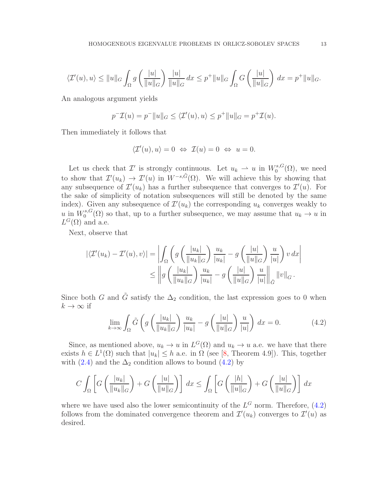<span id="page-12-1"></span>
$$
\langle \mathcal{I}'(u),u\rangle \le ||u||_G \int_{\Omega} g\left(\frac{|u|}{||u||_G}\right) \frac{|u|}{||u||_G} dx \le p^+||u||_G \int_{\Omega} G\left(\frac{|u|}{||u||_G}\right) dx = p^+||u||_G.
$$

An analogous argument yields

$$
p^{-}\mathcal{I}(u) = p^{-}||u||_{G} \le \langle \mathcal{I}'(u), u \rangle \le p^{+}||u||_{G} = p^{+}\mathcal{I}(u).
$$

Then immediately it follows that

$$
\langle \mathcal{I}'(u), u \rangle = 0 \Leftrightarrow \mathcal{I}(u) = 0 \Leftrightarrow u = 0.
$$

Let us check that  $\mathcal{I}'$  is strongly continuous. Let  $u_k \rightharpoonup u$  in  $W_0^{s,G}$  $\binom{8, G}{0}$ , we need to show that  $\mathcal{I}'(u_k) \to \mathcal{I}'(u)$  in  $W^{-s,\tilde{G}}(\Omega)$ . We will achieve this by showing that any subsequence of  $\mathcal{I}'(u_k)$  has a further subsequence that converges to  $\mathcal{I}'(u)$ . For the sake of simplicity of notation subsequences will still be denoted by the same index). Given any subsequence of  $\mathcal{I}'(u_k)$  the corresponding  $u_k$  converges weakly to u in  $W_0^{s,G}$  $\int_0^{s,G}(\Omega)$  so that, up to a further subsequence, we may assume that  $u_k \to u$  in  $L^G(\Omega)$  and a.e.

Next, observe that

$$
\left| \langle \mathcal{I}'(u_k) - \mathcal{I}'(u), v \rangle \right| = \left| \int_{\Omega} \left( g \left( \frac{|u_k|}{||u_k||_G} \right) \frac{u_k}{|u_k|} - g \left( \frac{|u|}{||u||_G} \right) \frac{u}{|u|} \right) v \, dx \right|
$$
  

$$
\leq \left| g \left( \frac{|u_k|}{||u_k||_G} \right) \frac{u_k}{|u_k|} - g \left( \frac{|u|}{||u||_G} \right) \frac{u}{|u|} \right|_{\tilde{G}} ||v||_G.
$$

Since both G and  $\tilde{G}$  satisfy the  $\Delta_2$  condition, the last expression goes to 0 when  $k \to \infty$  if

<span id="page-12-0"></span>
$$
\lim_{k \to \infty} \int_{\Omega} \tilde{G} \left( g \left( \frac{|u_k|}{\|u_k\|_G} \right) \frac{u_k}{|u_k|} - g \left( \frac{|u|}{\|u\|_G} \right) \frac{u}{|u|} \right) dx = 0.
$$
 (4.2)

Since, as mentioned above,  $u_k \to u$  in  $L^G(\Omega)$  and  $u_k \to u$  a.e. we have that there exists  $h \in L^1(\Omega)$  such that  $|u_k| \leq h$  a.e. in  $\Omega$  (see [\[8,](#page-23-20) Theorem 4.9]). This, together with [\(2.4\)](#page-4-3) and the  $\Delta_2$  condition allows to bound [\(4.2\)](#page-12-0) by

$$
C\int_{\Omega}\left[G\left(\frac{|u_k|}{\|u_k\|_G}\right)+G\left(\frac{|u|}{\|u\|_G}\right)\right]dx \le \int_{\Omega}\left[G\left(\frac{|h|}{\|u\|_G}\right)+G\left(\frac{|u|}{\|u\|_G}\right)\right]dx
$$

where we have used also the lower semicontinuity of the  $L^G$  norm. Therefore, [\(4.2\)](#page-12-0) follows from the dominated convergence theorem and  $\mathcal{I}'(u_k)$  converges to  $\mathcal{I}'(u)$  as desired.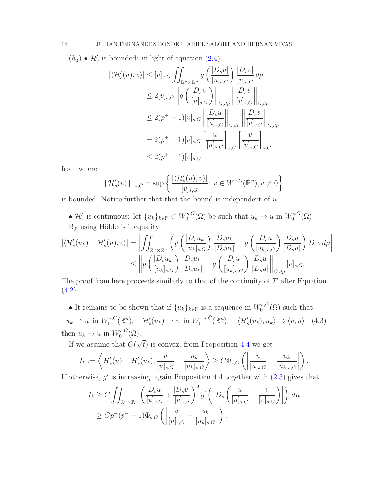$(h_3) \bullet \mathcal{H}'_s$  is bounded: in light of equation  $(2.4)$ 

$$
\begin{split}\n|\langle \mathcal{H}'_s(u), v \rangle| &\leq [v]_{s,G} \iint_{\mathbb{R}^n \times \mathbb{R}^n} g\left(\frac{|D_s u|}{[u]_{s,G}}\right) \frac{|D_s v|}{[v]_{s,G}} d\mu \\
&\leq 2[v]_{s,G} \left\| g\left(\frac{|D_s u|}{[u]_{s,G}}\right) \right\|_{\tilde{G},d\mu} \left\| \frac{|D_s v|}{[v]_{s,G}} \right\|_{G,d\mu} \\
&\leq 2(p^+ - 1)[v]_{s,G} \left\| \frac{|D_s u|}{[u]_{s,G}} \right\|_{G,d\mu} \left\| \frac{|D_s v|}{[v]_{s,G}} \right\|_{G,d\mu} \\
&= 2(p^+ - 1)[v]_{s,G} \left[\frac{u}{[u]_{s,G}}\right]_{s,G} \left[\frac{v}{[v]_{s,G}}\right]_{s,G} \\
&\leq 2(p^+ - 1)[v]_{s,G}\n\end{split}
$$

from where

$$
\|\mathcal{H}'_s(u)\|_{-s,\tilde{G}} = \sup \left\{ \frac{|\langle \mathcal{H}'_s(u), v \rangle|}{[v]_{s,G}} : v \in W^{s,G}(\mathbb{R}^n), v \neq 0 \right\}
$$

is bounded. Notice further that that the bound is independent of  $u$ .

•  $\mathcal{H}'_s$  is continuous: let  $\{u_k\}_{k\in\mathbb{N}}\subset W_0^{s,G}$  $u_0^{s,G}(\Omega)$  be such that  $u_k \to u$  in  $W_0^{s,G}$  $\zeta_0^{s,G}(\Omega)$ . By using Hölder's inequality

$$
\begin{split} |\langle \mathcal{H}_s'(u_k)-\mathcal{H}_s'(u),v\rangle| &= \left|\iint_{\mathbb{R}^n\times\mathbb{R}^n}\left(g\left(\frac{|D_s u_k|}{[u_k]_{s,G}}\right)\frac{D_s u_k}{|D_s u_k|} - g\left(\frac{|D_s u|}{[u_k]_{s,G}}\right)\frac{D_s u}{|D_s u|}\right)D_s v\,d\mu\right| \\ &\leq \left\|g\left(\frac{|D_s u_k|}{[u_k]_{s,G}}\right)\frac{D_s u_k}{|D_s u_k|} - g\left(\frac{|D_s u|}{[u_k]_{s,G}}\right)\frac{D_s u}{|D_s u|}\right\|_{\tilde{G},d\mu}[v]_{s,G}. \end{split}
$$

The proof from here proceeds similarly to that of the continuity of  $\mathcal{I}'$  after Equation  $(4.2).$  $(4.2).$ 

<span id="page-13-0"></span>• It remains to be shown that if  $\{u_k\}_{k\in\mathbb{N}}$  is a sequence in  $W_0^{s,G}$  $\int_0^{s,\mathbf{G}}(\Omega)$  such that  $u_k \rightharpoonup u$  in  $W_0^{s,G}$  $\mathcal{H}'_0(\mathbb{R}^n)$ ,  $\mathcal{H}'_s(u_k) \rightharpoonup v$  in  $W_0^{-s,\tilde{G}}$  $C_0^{-s,G}(\mathbb{R}^n), \quad \langle \mathcal{H}'_s(u_k), u_k \rangle \to \langle v, u \rangle \quad (4.3)$ then  $u_k \to u$  in  $W_0^{s,G}$  $\binom{s,G}{0}$ 

If we assume that  $G(\sqrt{t})$  is convex, from Proposition [4.4](#page-10-0) we get

$$
I_k := \left\langle \mathcal{H}'_s(u) - \mathcal{H}'_s(u_k), \frac{u}{[u]_{s,G}} - \frac{u_k}{[u_k]_{s,G}} \right\rangle \ge C \Phi_{s,G} \left( \left| \frac{u}{[u]_{s,G}} - \frac{u_k}{[u_k]_{s,G}} \right| \right).
$$

If otherwise,  $g'$  is increasing, again Proposition [4.4](#page-10-0) together with  $(2.3)$  gives that

$$
I_k \geq C \iint_{\mathbb{R}^n \times \mathbb{R}^n} \left( \frac{|D_s u|}{[u]_{s,G}} + \frac{|D_s v|}{[v]_{s,g}} \right)^2 g' \left( \left| D_s \left( \frac{u}{[u]_{s,G}} - \frac{v}{[v]_{s,G}} \right) \right| \right) d\mu
$$
  
\n
$$
\geq C p^{-} (p^{-} - 1) \Phi_{s,G} \left( \left| \frac{u}{[u]_{s,G}} - \frac{u_k}{[u_k]_{s,G}} \right| \right).
$$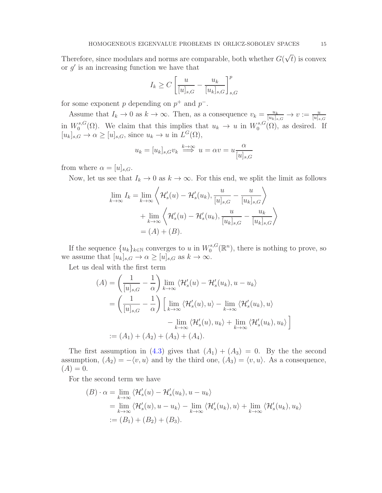Therefore, since modulars and norms are comparable, both whether  $G(\sqrt{t})$  is convex or  $g'$  is an increasing function we have that

$$
I_k \ge C \left[ \frac{u}{[u]_{s,G}} - \frac{u_k}{[u_k]_{s,G}} \right]_{s,G}^p
$$

for some exponent p depending on  $p^+$  and  $p^-$ .

Assume that  $I_k \to 0$  as  $k \to \infty$ . Then, as a consequence  $v_k = \frac{u_k}{[u_k]_s}$  $\frac{u_k}{[u_k]_{s,G}} \to v := \frac{u}{[u]_{s,G}}$ in  $W_0^{s,G}$ <sup>s,G</sup>( $\Omega$ ). We claim that this implies that  $u_k \to u$  in  $W_0^{s,G}$  $\int_0^{s,G}(\Omega)$ , as desired. If  $[u_k]_{s,G} \to \alpha \geq [u]_{s,G}$ , since  $u_k \to u$  in  $L^G(\Omega)$ ,

$$
u_k = [u_k]_{s,G} v_k \stackrel{k \to \infty}{\Longrightarrow} u = \alpha v = u \frac{\alpha}{[u]_{s,G}}
$$

from where  $\alpha = [u]_{s,G}$ .

Now, let us see that  $I_k \to 0$  as  $k \to \infty$ . For this end, we split the limit as follows

$$
\lim_{k \to \infty} I_k = \lim_{k \to \infty} \left\langle \mathcal{H}'_s(u) - \mathcal{H}'_s(u_k), \frac{u}{[u]_{s,G}} - \frac{u}{[u_k]_{s,G}} \right\rangle
$$
  
+ 
$$
\lim_{k \to \infty} \left\langle \mathcal{H}'_s(u) - \mathcal{H}'_s(u_k), \frac{u}{[u_k]_{s,G}} - \frac{u_k}{[u_k]_{s,G}} \right\rangle
$$
  
=  $(A) + (B).$ 

If the sequence  ${u_k}_{k \in \mathbb{N}}$  converges to u in  $W_0^{s,G}$  $\mathcal{C}_0^{s,G}(\mathbb{R}^n)$ , there is nothing to prove, so we assume that  $[u_k]_{s,G} \to \alpha \geq [u]_{s,G}$  as  $k \to \infty$ .

Let us deal with the first term

$$
(A) = \left(\frac{1}{[u]_{s,G}} - \frac{1}{\alpha}\right) \lim_{k \to \infty} \langle \mathcal{H}'_s(u) - \mathcal{H}'_s(u_k), u - u_k \rangle
$$
  
\n
$$
= \left(\frac{1}{[u]_{s,G}} - \frac{1}{\alpha}\right) \left[\lim_{k \to \infty} \langle \mathcal{H}'_s(u), u \rangle - \lim_{k \to \infty} \langle \mathcal{H}'_s(u_k), u \rangle \right]
$$
  
\n
$$
- \lim_{k \to \infty} \langle \mathcal{H}'_s(u), u_k \rangle + \lim_{k \to \infty} \langle \mathcal{H}'_s(u_k), u_k \rangle \right]
$$
  
\n
$$
:= (A_1) + (A_2) + (A_3) + (A_4).
$$

The first assumption in [\(4.3\)](#page-13-0) gives that  $(A_1) + (A_3) = 0$ . By the the second assumption,  $(A_2) = -\langle v, u \rangle$  and by the third one,  $(A_3) = \langle v, u \rangle$ . As a consequence,  $(A) = 0.$ 

For the second term we have

$$
(B) \cdot \alpha = \lim_{k \to \infty} \langle \mathcal{H}'_s(u) - \mathcal{H}'_s(u_k), u - u_k \rangle
$$
  
= 
$$
\lim_{k \to \infty} \langle \mathcal{H}'_s(u), u - u_k \rangle - \lim_{k \to \infty} \langle \mathcal{H}'_s(u_k), u \rangle + \lim_{k \to \infty} \langle \mathcal{H}'_s(u_k), u_k \rangle
$$
  
:= 
$$
(B_1) + (B_2) + (B_3).
$$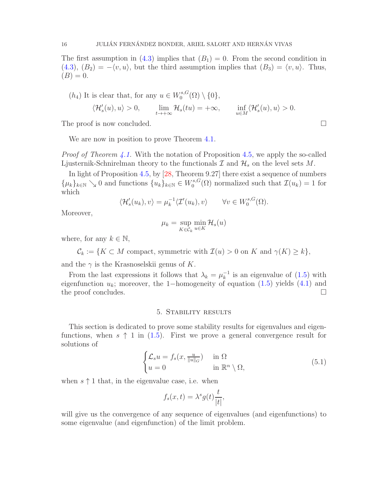<span id="page-15-2"></span>The first assumption in [\(4.3\)](#page-13-0) implies that  $(B_1) = 0$ . From the second condition in  $(4.3)$ ,  $(B_2) = -\langle v, u \rangle$ , but the third assumption implies that  $(B_3) = \langle v, u \rangle$ . Thus,  $(B) = 0.$ 

(h<sub>4</sub>) It is clear that, for any 
$$
u \in W_0^{s,G}(\Omega) \setminus \{0\}
$$
,  
\n $\langle \mathcal{H}_s'(u), u \rangle > 0$ ,  $\lim_{t \to +\infty} \mathcal{H}_s(tu) = +\infty$ ,  $\inf_{u \in M} \langle \mathcal{H}_s'(u), u \rangle > 0$ .

The proof is now concluded.

We are now in position to prove Theorem [4.1.](#page-9-0)

*Proof of Theorem [4.1.](#page-9-0)* With the notation of Proposition [4.5,](#page-11-0) we apply the so-called Ljusternik-Schnirelman theory to the functionals  $\mathcal I$  and  $\mathcal H_s$  on the level sets  $M$ .

In light of Proposition [4.5,](#page-11-0) by [\[28,](#page-23-21) Theorem 9.27] there exist a sequence of numbers  $\{\mu_k\}_{k\in\mathbb{N}}\setminus 0$  and functions  $\{u_k\}_{k\in\mathbb{N}}\in W_0^{s,G}$  $\mathcal{I}_0^{s,\mathbf{G}}(\Omega)$  normalized such that  $\mathcal{I}(u_k) = 1$  for which

$$
\langle \mathcal{H}'_s(u_k), v \rangle = \mu_k^{-1} \langle \mathcal{I}'(u_k), v \rangle \qquad \forall v \in W_0^{s, G}(\Omega).
$$

Moreover,

$$
\mu_k = \sup_{K \in \mathcal{C}_k} \min_{u \in K} \mathcal{H}_s(u)
$$

where, for any  $k \in \mathbb{N}$ ,

 $\mathcal{C}_k := \{K \subset M \text{ compact, symmetric with } \mathcal{I}(u) > 0 \text{ on } K \text{ and } \gamma(K) \geq k\},\$ 

and the  $\gamma$  is the Krasnoselskii genus of K.

From the last expressions it follows that  $\lambda_k = \mu_k^{-1}$  $\frac{1}{k}$  is an eigenvalue of  $(1.5)$  with eigenfunction  $u_k$ ; moreover, the 1-homogeneity of equation [\(1.5\)](#page-2-1) yields [\(4.1\)](#page-9-3) and the proof concludes. the proof concludes.

### 5. Stability results

<span id="page-15-0"></span>This section is dedicated to prove some stability results for eigenvalues and eigenfunctions, when  $s \uparrow 1$  in [\(1.5\)](#page-2-1). First we prove a general convergence result for solutions of

$$
\begin{cases} \mathcal{L}_s u = f_s(x, \frac{u}{\|u\|_G}) & \text{in } \Omega\\ u = 0 & \text{in } \mathbb{R}^n \setminus \Omega, \end{cases}
$$
 (5.1)

when  $s \uparrow 1$  that, in the eigenvalue case, i.e. when

<span id="page-15-1"></span>
$$
f_s(x,t) = \lambda^s g(t) \frac{t}{|t|},
$$

will give us the convergence of any sequence of eigenvalues (and eigenfunctions) to some eigenvalue (and eigenfunction) of the limit problem.

$$
\Box
$$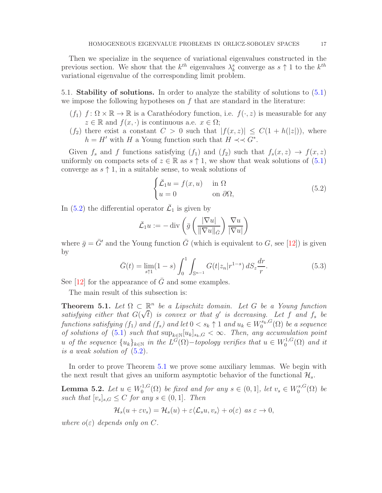<span id="page-16-4"></span>Then we specialize in the sequence of variational eigenvalues constructed in the previous section. We show that the  $k^{th}$  eigenvalues  $\lambda_k^s$  converge as  $s \uparrow 1$  to the  $k^{th}$ variational eigenvalue of the corresponding limit problem.

5.1. Stability of solutions. In order to analyze the stability of solutions to [\(5.1\)](#page-15-1) we impose the following hypotheses on  $f$  that are standard in the literature:

- $(f_1)$   $f: \Omega \times \mathbb{R} \to \mathbb{R}$  is a Caratheodory function, i.e.  $f(\cdot, z)$  is measurable for any  $z \in \mathbb{R}$  and  $f(x, \cdot)$  is continuous a.e.  $x \in \Omega$ ;
- $(f_2)$  there exist a constant  $C > 0$  such that  $|f(x, z)| \leq C(1 + h(|z|))$ , where  $h = H'$  with H a Young function such that  $H \prec \prec G^*$ .

Given  $f_s$  and f functions satisfying  $(f_1)$  and  $(f_2)$  such that  $f_s(x, z) \rightarrow f(x, z)$ uniformly on compacts sets of  $z \in \mathbb{R}$  as  $s \uparrow 1$ , we show that weak solutions of  $(5.1)$ converge as  $s \uparrow 1$ , in a suitable sense, to weak solutions of

<span id="page-16-2"></span>
$$
\begin{cases} \bar{\mathcal{L}}_1 u = f(x, u) & \text{in } \Omega \\ u = 0 & \text{on } \partial \Omega, \end{cases}
$$
 (5.2)

In [\(5.2\)](#page-16-2) the differential operator  $\bar{\mathcal{L}}_1$  is given by

$$
\bar{\mathcal{L}}_1 u := -\operatorname{div}\left(\bar{g}\left(\frac{|\nabla u|}{\|\nabla u\|_{\bar{G}}}\right) \frac{\nabla u}{|\nabla u|}\right)
$$

where  $\bar{q} = \bar{G}'$  and the Young function  $\bar{G}$  (which is equivalent to G, see [\[12\]](#page-23-3)) is given by

<span id="page-16-1"></span>
$$
\bar{G}(t) = \lim_{s \uparrow 1} (1 - s) \int_0^1 \int_{\mathbb{S}^{n-1}} G(t|z_n|r^{1-s}) \, dS_z \frac{dr}{r}.\tag{5.3}
$$

See  $[12]$  for the appearance of G and some examples.

The main result of this subsection is:

<span id="page-16-0"></span>**Theorem 5.1.** Let  $\Omega \subset \mathbb{R}^n$  be a Lipschitz domain. Let G be a Young function satisfying either that  $G(\sqrt{t})$  is convex or that g' is decreasing. Let f and  $f_s$  be functions satisfying  $(f_1)$  and  $(f_s)$  and let  $0 < s_k \uparrow 1$  and  $u_k \in W_0^{s_k, G}(\Omega)$  be a sequence of solutions of [\(5.1\)](#page-15-1) such that  $\sup_{k\in\mathbb{N}}[u_k]_{s_k,G} < \infty$ . Then, any accumulation point u of the sequence  $\{u_k\}_{k\in\mathbb{N}}$  in the  $L^G(\Omega)$  -topology verifies that  $u \in W_0^{1,G}$  $C_0^{1,G}(\Omega)$  and it is a weak solution of [\(5.2\)](#page-16-2).

In order to prove Theorem [5.1](#page-16-0) we prove some auxiliary lemmas. We begin with the next result that gives an uniform asymptotic behavior of the functional  $\mathcal{H}_s$ .

<span id="page-16-3"></span>**Lemma 5.2.** Let  $u \in W_0^{1,G}$  $\mathcal{L}_0^{1,G}(\Omega)$  be fixed and for any  $s \in (0,1]$ , let  $v_s \in W_0^{s,G}$  $b_0^{s,\mathbf{G}}(\Omega)$  be such that  $[v_s]_{s,G} \leq C$  for any  $s \in (0,1]$ . Then

$$
\mathcal{H}_s(u+\varepsilon v_s)=\mathcal{H}_s(u)+\varepsilon\langle \mathcal{L}_s u, v_s\rangle+o(\varepsilon) \ \ as \ \varepsilon\to 0,
$$

where  $o(\varepsilon)$  depends only on C.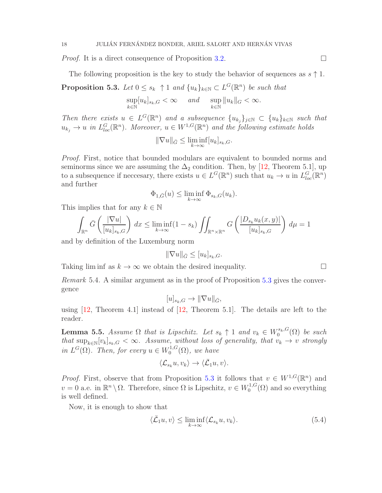<span id="page-17-4"></span>*Proof.* It is a direct consequence of Proposition [3.2.](#page-6-5)  $\Box$ 

The following proposition is the key to study the behavior of sequences as  $s \uparrow 1$ .

<span id="page-17-0"></span>**Proposition 5.3.** Let  $0 \leq s_k$   $\uparrow$  1 and  $\{u_k\}_{k \in \mathbb{N}} \subset L^G(\mathbb{R}^n)$  be such that

$$
\sup_{k\in\mathbb{N}}[u_k]_{s_k,G}<\infty \quad \text{ and }\quad \sup_{k\in\mathbb{N}}\|u_k\|_G<\infty.
$$

Then there exists  $u \in L^G(\mathbb{R}^n)$  and a subsequence  $\{u_{k_j}\}_{j\in\mathbb{N}} \subset \{u_k\}_{k\in\mathbb{N}}$  such that  $u_{k_j} \to u$  in  $L^G_{loc}(\mathbb{R}^n)$ . Moreover,  $u \in W^{1,G}(\mathbb{R}^n)$  and the following estimate holds

$$
\|\nabla u\|_{\bar{G}} \le \liminf_{k \to \infty} [u_k]_{s_k, G}.
$$

Proof. First, notice that bounded modulars are equivalent to bounded norms and seminorms since we are assuming the  $\Delta_2$  condition. Then, by [\[12,](#page-23-3) Theorem 5.1], up to a subsequence if necessary, there exists  $u \in L^G(\mathbb{R}^n)$  such that  $u_k \to u$  in  $L^G_{loc}(\mathbb{R}^n)$ and further

$$
\Phi_{1,\bar{G}}(u) \le \liminf_{k \to \infty} \Phi_{s_k,G}(u_k).
$$

This implies that for any  $k \in \mathbb{N}$ 

$$
\int_{\mathbb{R}^n} \bar{G}\left(\frac{|\nabla u|}{[u_k]_{s_k,G}}\right) dx \le \liminf_{k \to \infty} (1 - s_k) \iint_{\mathbb{R}^n \times \mathbb{R}^n} G\left(\frac{|D_{s_k} u_k(x,y)|}{[u_k]_{s_k,G}}\right) d\mu = 1
$$

and by definition of the Luxemburg norm

$$
\|\nabla u\|_{\bar{G}} \le [u_k]_{s_k,G}.
$$

Taking lim inf as  $k \to \infty$  we obtain the desired inequality.

<span id="page-17-2"></span>Remark 5.4. A similar argument as in the proof of Proposition [5.3](#page-17-0) gives the convergence

$$
[u]_{s_k,G} \to ||\nabla u||_{\bar{G}},
$$

using  $[12,$  Theorem 4.1 instead of  $[12,$  Theorem 5.1. The details are left to the reader.

<span id="page-17-3"></span>**Lemma 5.5.** Assume  $\Omega$  that is Lipschitz. Let  $s_k \uparrow 1$  and  $v_k \in W_0^{s_k, G}(\Omega)$  be such that  $\sup_{k \in \mathbb{N}} [v_k]_{s_k,G} < \infty$ . Assume, without loss of generality, that  $v_k \to v$  strongly in  $L^G(\Omega)$ . Then, for every  $u \in W_0^{1,G}$  $\mathcal{C}_0^{1,G}(\Omega)$ , we have

$$
\langle \mathcal{L}_{s_k} u, v_k \rangle \to \langle \bar{\mathcal{L}}_1 u, v \rangle.
$$

*Proof.* First, observe that from Proposition [5.3](#page-17-0) it follows that  $v \in W^{1,G}(\mathbb{R}^n)$  and  $v = 0$  a.e. in  $\mathbb{R}^n \setminus \Omega$ . Therefore, since  $\Omega$  is Lipschitz,  $v \in W_0^{1,G}$  $_{0}^{\prime1,\mathbf{G}}(\Omega)$  and so everything is well defined.

Now, it is enough to show that

<span id="page-17-1"></span>
$$
\langle \bar{\mathcal{L}}_1 u, v \rangle \le \liminf_{k \to \infty} \langle \mathcal{L}_{s_k} u, v_k \rangle. \tag{5.4}
$$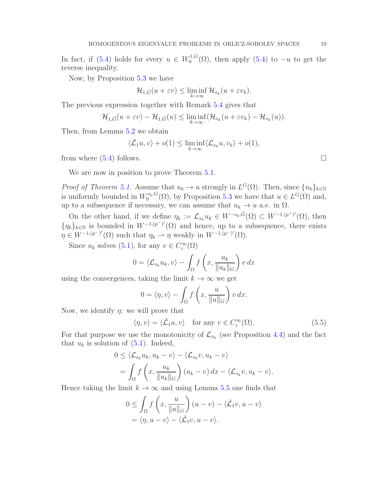In fact, if [\(5.4\)](#page-17-1) holds for every  $u \in W_0^{1,G}$  $_0^{1,1,G}(\Omega)$ , then apply [\(5.4\)](#page-17-1) to  $-u$  to get the reverse inequality.

Now, by Proposition [5.3](#page-17-0) we have

$$
\mathcal{H}_{1,\bar{G}}(u+\varepsilon v) \leq \liminf_{k \to \infty} \mathcal{H}_{s_k}(u+\varepsilon v_k).
$$

The previous expression together with Remark [5.4](#page-17-2) gives that

$$
\mathcal{H}_{1,\bar{G}}(u+\varepsilon v)-\mathcal{H}_{1,\bar{G}}(u)\leq \liminf_{k\to\infty}(\mathcal{H}_{s_k}(u+\varepsilon v_k)-\mathcal{H}_{s_k}(u)).
$$

Then, from Lemma [5.2](#page-16-3) we obtain

$$
\langle \bar{\mathcal{L}}_1 u, v \rangle + o(1) \le \liminf_{k \to \infty} \langle \mathcal{L}_{s_k} u, v_k \rangle + o(1),
$$

from where  $(5.4)$  follows.

We are now in position to prove Theorem  $5.1$ .

*Proof of Theorem [5.1.](#page-16-0)* Assume that  $u_k \to u$  strongly in  $L^G(\Omega)$ . Then, since  $\{u_k\}_{k\in\mathbb{N}}$ is uniformly bounded in  $W_0^{s_k, G}(\Omega)$ , by Proposition [5.3](#page-17-0) we have that  $u \in L^G(\Omega)$  and, up to a subsequence if necessary, we can assume that  $u_k \to u$  a.e. in  $\Omega$ .

On the other hand, if we define  $\eta_k := \mathcal{L}_{s_k} u_k \in W^{-s_k, \tilde{G}}(\Omega) \subset W^{-1, (p^-)'}(\Omega)$ , then  $\{\eta_k\}_{k\in\mathbb{N}}$  is bounded in  $W^{-1,(p^-)'}(\Omega)$  and hence, up to a subsequence, there exists  $\eta \in W^{-1,(p^-)'}(\Omega)$  such that  $\eta_k \rightharpoonup \eta$  weakly in  $W^{-1,(p^-)'}(\Omega)$ .

Since  $u_k$  solves [\(5.1\)](#page-15-1), for any  $v \in C_c^{\infty}(\Omega)$ 

$$
0 = \langle \mathcal{L}_{s_k} u_k, v \rangle - \int_{\Omega} f\left(x, \frac{u_k}{\|u_k\|_G}\right) v \, dx
$$

using the convergences, taking the limit  $k \to \infty$  we get

$$
0 = \langle \eta, v \rangle - \int_{\Omega} f\left(x, \frac{u}{\|u\|_{G}}\right) v \, dx.
$$

Now, we identify  $\eta$ : we will prove that

<span id="page-18-0"></span>
$$
\langle \eta, v \rangle = \langle \bar{\mathcal{L}}_1 u, v \rangle \quad \text{for any } v \in C_c^{\infty}(\Omega). \tag{5.5}
$$

For that purpose we use the monotonicity of  $\mathcal{L}_{s_k}$  (see Proposition [4.4\)](#page-10-0) and the fact that  $u_k$  is solution of  $(5.1)$ . Indeed,

$$
0 \leq \langle \mathcal{L}_{s_k} u_k, u_k - v \rangle - \langle \mathcal{L}_{s_k} v, u_k - v \rangle
$$
  
= 
$$
\int_{\Omega} f\left(x, \frac{u_k}{\|u_k\|_G}\right) (u_k - v) dx - \langle \mathcal{L}_{s_k} v, u_k - v \rangle.
$$

Hence taking the limit  $k \to \infty$  and using Lemma [5.5](#page-17-3) one finds that

$$
0 \leq \int_{\Omega} f\left(x, \frac{u}{\|u\|_{G}}\right)(u-v) - \langle \bar{\mathcal{L}}_{1}v, u-v \rangle
$$
  
=  $\langle \eta, u-v \rangle - \langle \bar{\mathcal{L}}_{1}v, u-v \rangle.$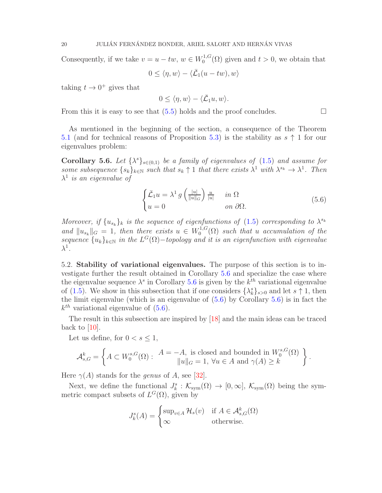<span id="page-19-2"></span>Consequently, if we take  $v = u - tw$ ,  $w \in W_0^{1,G}$  $t_0^{1,G}(\Omega)$  given and  $t > 0$ , we obtain that

$$
0 \le \langle \eta, w \rangle - \langle \overline{\mathcal{L}}_1(u - tw), w \rangle
$$

taking  $t \to 0^+$  gives that

$$
0 \le \langle \eta, w \rangle - \langle \bar{\mathcal{L}}_1 u, w \rangle.
$$

From this it is easy to see that  $(5.5)$  holds and the proof concludes.

As mentioned in the beginning of the section, a consequence of the Theorem [5.1](#page-16-0) (and for technical reasons of Proposition [5.3\)](#page-17-0) is the stability as  $s \uparrow 1$  for our eigenvalues problem:

<span id="page-19-0"></span>Corollary 5.6. Let  $\{\lambda^s\}_{s\in(0,1)}$  be a family of eigenvalues of  $(1.5)$  and assume for some subsequence  $\{s_k\}_{k\in\mathbb{N}}$  such that  $s_k \uparrow 1$  that there exists  $\lambda^1$  with  $\lambda^{s_k} \to \lambda^1$ . Then  $\lambda^1$  is an eigenvalue of

<span id="page-19-1"></span>
$$
\begin{cases} \bar{\mathcal{L}}_1 u = \lambda^1 g \left( \frac{|u|}{\|u\|_G} \right) \frac{u}{|u|} & \text{in } \Omega \\ u = 0 & \text{on } \partial \Omega. \end{cases}
$$
 (5.6)

Moreover, if  $\{u_{s_k}\}_k$  is the sequence of eigenfunctions of [\(1.5\)](#page-2-1) corresponding to  $\lambda^{s_k}$ and  $||u_{s_k}||_G = 1$ , then there exists  $u \in W_0^{1,G}$  $\mathcal{O}_0^{1, G}(\Omega)$  such that u accumulation of the sequence  ${u_k}_{k \in \mathbb{N}}$  in the  $L^G(\Omega)$  -topology and it is an eigenfunction with eigenvalue  $\lambda^1$  .

5.2. Stability of variational eigenvalues. The purpose of this section is to investigate further the result obtained in Corollary [5.6](#page-19-0) and specialize the case where the eigenvalue sequence  $\lambda^s$  in Corollary [5.6](#page-19-0) is given by the  $k^{th}$  variational eigenvalue of [\(1.5\)](#page-2-1). We show in this subsection that if one considers  $\{\lambda_k^s\}_{s>0}$  and let  $s \uparrow 1$ , then the limit eigenvalue (which is an eigenvalue of [\(5.6\)](#page-19-1) by Corollary [5.6\)](#page-19-0) is in fact the  $k^{th}$  variational eigenvalue of  $(5.6)$ .

The result in this subsection are inspired by [\[18\]](#page-23-22) and the main ideas can be traced back to  $[10]$ .

Let us define, for  $0 < s \leq 1$ ,

$$
\mathcal{A}_{s,G}^k = \left\{ A \subset W_0^{s,G}(\Omega) : \begin{array}{c} A = -A, \text{ is closed and bounded in } W_0^{s,G}(\Omega) \\ \|u\|_G = 1, \ \forall u \in A \text{ and } \gamma(A) \ge k \end{array} \right\}.
$$

Here  $\gamma(A)$  stands for the *genus* of A, see [\[32\]](#page-24-6).

Next, we define the functional  $J_k^s : \mathcal{K}_{sym}(\Omega) \to [0, \infty], \mathcal{K}_{sym}(\Omega)$  being the symmetric compact subsets of  $L^G(\Omega)$ , given by

$$
J_k^s(A) = \begin{cases} \sup_{v \in A} \mathcal{H}_s(v) & \text{if } A \in \mathcal{A}_{s,G}^k(\Omega) \\ \infty & \text{otherwise.} \end{cases}
$$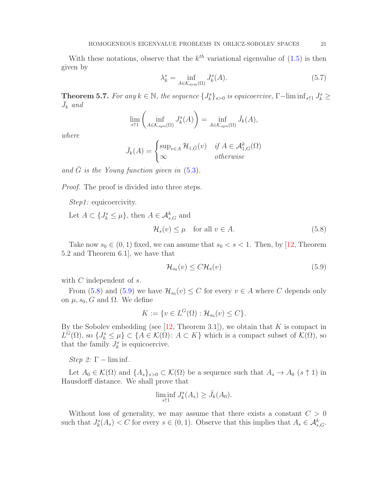<span id="page-20-3"></span>With these notations, observe that the  $k^{th}$  variational eigenvalue of  $(1.5)$  is then given by

$$
\lambda_k^s = \inf_{A \in \mathcal{K}_{sym}(\Omega)} J_k^s(A). \tag{5.7}
$$

<span id="page-20-0"></span>**Theorem 5.7.** For any  $k \in \mathbb{N}$ , the sequence  $\{J_k^s\}_{s>0}$  is equicoercive,  $\Gamma$ -lim  $\inf_{s \uparrow 1} J_k^s \geq$  $\bar{J}_k$  and

$$
\lim_{s \uparrow 1} \left( \inf_{A \in \mathcal{K}_{sym}(\Omega)} J^s_k(A) \right) = \inf_{A \in \mathcal{K}_{sym}(\Omega)} \bar{J}_k(A),
$$

where

$$
\bar{J}_k(A) = \begin{cases} \sup_{v \in A} \mathcal{H}_{1,\bar{G}}(v) & \text{if } A \in \mathcal{A}_{1,G}^k(\Omega) \\ \infty & \text{otherwise} \end{cases}
$$

and  $\bar{G}$  is the Young function given in [\(5.3\)](#page-16-1).

Proof. The proof is divided into three steps.

Step1: equicoercivity.

Let  $A \subset \{J_k^s \leq \mu\}$ , then  $A \in \mathcal{A}_{s,G}^k$  and

<span id="page-20-1"></span>
$$
\mathcal{H}_s(v) \le \mu \quad \text{for all } v \in A. \tag{5.8}
$$

Take now  $s_0 \in (0,1)$  fixed, we can assume that  $s_0 < s < 1$ . Then, by [\[12,](#page-23-3) Theorem 5.2 and Theorem 6.1], we have that

<span id="page-20-2"></span>
$$
\mathcal{H}_{s_0}(v) \le C \mathcal{H}_s(v) \tag{5.9}
$$

with C independent of s.

From  $(5.8)$  and  $(5.9)$  we have  $\mathcal{H}_{s_0}(v) \leq C$  for every  $v \in A$  where C depends only on  $\mu$ ,  $s_0$ , G and Ω. We define

$$
K := \{ v \in L^G(\Omega) : \mathcal{H}_{s_0}(v) \le C \}.
$$

By the Sobolev embedding (see  $[12,$  Theorem 3.1]), we obtain that K is compact in  $L^G(\Omega)$ , so  $\{J^s_k \leq \mu\} \subset \{A \in \mathcal{K}(\Omega) : A \subset K\}$  which is a compact subset of  $\mathcal{K}(\Omega)$ , so that the family  $J_k^s$  is equicoercive.

Step 2:  $\Gamma$  – lim inf.

Let  $A_0 \in \mathcal{K}(\Omega)$  and  $\{A_s\}_{s>0} \subset \mathcal{K}(\Omega)$  be a sequence such that  $A_s \to A_0$   $(s \uparrow 1)$  in Hausdorff distance. We shall prove that

$$
\liminf_{s \uparrow 1} J_k^s(A_s) \ge \bar{J}_k(A_0).
$$

Without loss of generality, we may assume that there exists a constant  $C > 0$ such that  $J_k^s(A_s) < C$  for every  $s \in (0,1)$ . Observe that this implies that  $A_s \in \mathcal{A}_{s,G}^k$ .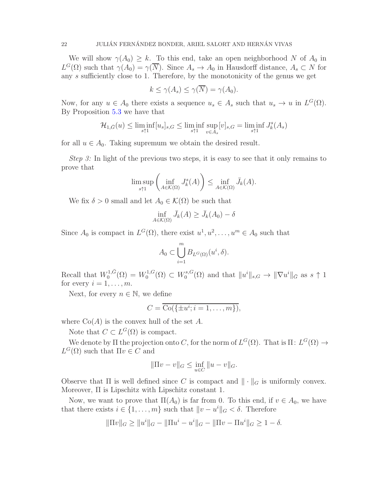We will show  $\gamma(A_0) \geq k$ . To this end, take an open neighborhood N of  $A_0$  in  $L^G(\Omega)$  such that  $\gamma(A_0) = \gamma(\overline{N})$ . Since  $A_s \to A_0$  in Hausdorff distance,  $A_s \subset N$  for any s sufficiently close to 1. Therefore, by the monotonicity of the genus we get

$$
k \le \gamma(A_s) \le \gamma(\overline{N}) = \gamma(A_0).
$$

Now, for any  $u \in A_0$  there exists a sequence  $u_s \in A_s$  such that  $u_s \to u$  in  $L^G(\Omega)$ . By Proposition [5.3](#page-17-0) we have that

$$
\mathcal{H}_{1,\bar{G}}(u)\leq \liminf_{s\uparrow 1}[u_s]_{s,G}\leq \liminf_{s\uparrow 1}\sup_{v\in A_s}[v]_{s,G}=\liminf_{s\uparrow 1}J_k^s(A_s)
$$

for all  $u \in A_0$ . Taking supremum we obtain the desired result.

Step 3: In light of the previous two steps, it is easy to see that it only remains to prove that

$$
\limsup_{s \uparrow 1} \left( \inf_{A \in \mathcal{K}(\Omega)} J^s_k(A) \right) \le \inf_{A \in \mathcal{K}(\Omega)} \bar{J}_k(A).
$$

We fix  $\delta > 0$  small and let  $A_0 \in \mathcal{K}(\Omega)$  be such that

$$
\inf_{A \in \mathcal{K}(\Omega)} \bar{J}_k(A) \ge \bar{J}_k(A_0) - \delta
$$

Since  $A_0$  is compact in  $L^G(\Omega)$ , there exist  $u^1, u^2, \ldots, u^m \in A_0$  such that

$$
A_0 \subset \bigcup_{i=1}^m B_{L^G(\Omega)}(u^i, \delta).
$$

Recall that  $W_0^{1,\bar{G}}$  $W_0^{1,G}(\Omega) = W_0^{1,G}$  $N_0^{1,G}(\Omega) \subset W_0^{s,G}$  $\int_0^{s,G}(\Omega)$  and that  $||u^i||_{s,G} \to ||\nabla u^i||_{\bar{G}}$  as  $s \uparrow 1$ for every  $i = 1, \ldots, m$ .

Next, for every  $n \in \mathbb{N}$ , we define

$$
C = \overline{\text{Co}(\{\pm u^i; i=1,\ldots,m\})},
$$

where  $Co(A)$  is the convex hull of the set A.

Note that  $C \subset L^G(\Omega)$  is compact.

We denote by  $\Pi$  the projection onto C, for the norm of  $L^G(\Omega)$ . That is  $\Pi: L^G(\Omega) \to$  $L^G(\Omega)$  such that  $\Pi v \in C$  and

$$
\|\Pi v - v\|_G \le \inf_{u \in C} \|u - v\|_G.
$$

Observe that  $\Pi$  is well defined since C is compact and  $\|\cdot\|_G$  is uniformly convex. Moreover, Π is Lipschitz with Lipschitz constant 1.

Now, we want to prove that  $\Pi(A_0)$  is far from 0. To this end, if  $v \in A_0$ , we have that there exists  $i \in \{1, ..., m\}$  such that  $||v - u^i||_G < \delta$ . Therefore

$$
\|\Pi v\|_G \ge \|u^i\|_G - \|\Pi u^i - u^i\|_G - \|\Pi v - \Pi u^i\|_G \ge 1 - \delta.
$$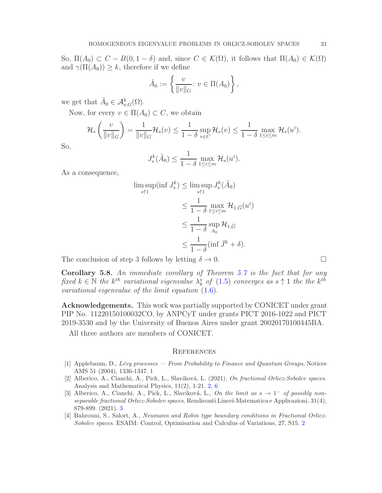So,  $\Pi(A_0) \subset C - B(0, 1 - \delta)$  and, since  $C \in \mathcal{K}(\Omega)$ , it follows that  $\Pi(A_0) \in \mathcal{K}(\Omega)$ and  $\gamma(\Pi(A_0)) \geq k$ , therefore if we define

$$
\tilde{A}_0 := \left\{ \frac{v}{\|v\|_G} : v \in \Pi(A_0) \right\},\
$$

we get that  $\tilde{A}_0 \in \mathcal{A}^k_{s,G}(\Omega)$ .

Now, for every  $v \in \Pi(A_0) \subset C$ , we obtain

$$
\mathcal{H}_s\left(\frac{v}{\|v\|_G}\right) = \frac{1}{\|v\|_G} \mathcal{H}_s(v) \le \frac{1}{1-\delta} \sup_{v \in C} \mathcal{H}_s(v) \le \frac{1}{1-\delta} \max_{1 \le i \le m} \mathcal{H}_s(u^i).
$$

So,

$$
J_s^k(\tilde{A}_0) \le \frac{1}{1-\delta} \max_{1 \le i \le m} \mathcal{H}_s(u^i).
$$

As a consequence,

$$
\limsup_{s \uparrow 1} (\inf J_s^k) \le \limsup_{s \uparrow 1} J_s^k(\tilde{A}_0)
$$
\n
$$
\le \frac{1}{1 - \delta} \max_{1 \le i \le m} \mathcal{H}_{1,\bar{G}}(u^i)
$$
\n
$$
\le \frac{1}{1 - \delta} \sup_{A_0} \mathcal{H}_{1,\bar{G}}
$$
\n
$$
\le \frac{1}{1 - \delta} (\inf \bar{J}^k + \delta).
$$

The conclusion of step 3 follows by letting  $\delta \to 0$ .

<span id="page-22-4"></span>Corollary 5.8. An immediate corollary of Theorem [5.7](#page-20-0) is the fact that for any fixed  $k \in \mathbb{N}$  the  $k^{th}$  variational eigenvalue  $\lambda_k^s$  of [\(1.5\)](#page-2-1) converges as s  $\uparrow$  1 the the  $k^{th}$ variational eigenvalue of the limit equation [\(1.6\)](#page-3-0).

Acknowledgements. This work was partially supported by CONICET under grant PIP No. 11220150100032CO, by ANPCyT under grants PICT 2016-1022 and PICT 2019-3530 and by the University of Buenos Aires under grant 20020170100445BA.

All three authors are members of CONICET.

#### **REFERENCES**

- <span id="page-22-0"></span>[1] Applebaum, D., Lévy processes — From Probability to Finance and Quantum Groups, Notices AMS 51 (2004), 1336-1347. [1](#page-0-0)
- <span id="page-22-1"></span>[2] Alberico, A., Cianchi, A., Pick, L., Slaviková, L. (2021). On fractional Orlicz-Sobolev spaces. Analysis and Mathematical Physics, 11(2), 1-21. [2,](#page-1-2) [6](#page-5-4)
- <span id="page-22-3"></span>[3] Alberico, A., Cianchi, A., Pick, L., Slaviková, L., On the limit as  $s \to 1^-$  of possibly nonseparable fractional Orlicz-Sobolev spaces. Rendiconti Lincei-Matematica e Applicazioni, 31(4), 879-899. (2021). [3](#page-2-3)
- <span id="page-22-2"></span>[4] Bahrouni, S., Salort, A., Neumann and Robin type boundary conditions in Fractional Orlicz-Sobolev spaces. ESAIM: Control, Optimisation and Calculus of Variations, 27, S15. [2](#page-1-2)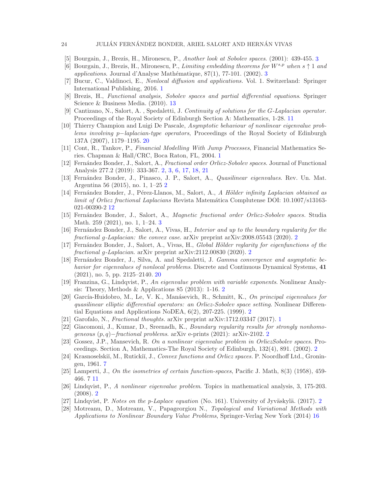## <span id="page-23-13"></span>24 JULIÁN FERNÁNDEZ BONDER, ARIEL SALORT AND HERNÁN VIVAS

- <span id="page-23-14"></span>[5] Bourgain, J., Brezis, H., Mironescu, P., Another look at Sobolev spaces. (2001): 439-455. [3](#page-2-3)
- <span id="page-23-1"></span>[6] Bourgain, J., Brezis, H., Mironescu, P., Limiting embedding theorems for  $W^{s,p}$  when  $s \uparrow 1$  and applications. Journal d'Analyse Mathématique,  $87(1)$ , 77-101. (2002). [3](#page-2-3)
- <span id="page-23-20"></span>[7] Bucur, C., Valdinoci, E., Nonlocal diffusion and applications. Vol. 1. Switzerland: Springer International Publishing, 2016. [1](#page-0-0)
- <span id="page-23-17"></span>[8] Brezis, H., Functional analysis, Sobolev spaces and partial differential equations. Springer Science & Business Media. (2010). [13](#page-12-1)
- [9] Cantizano, N., Salort, A. , Spedaletti, J. Continuity of solutions for the G-Laplacian operator. Proceedings of the Royal Society of Edinburgh Section A: Mathematics, 1-28. [11](#page-10-1)
- <span id="page-23-23"></span>[10] Thierry Champion and Luigi De Pascale, Asymptotic behaviour of nonlinear eigenvalue problems involving p−laplacian-type operators, Proceedings of the Royal Society of Edinburgh 137A (2007), 1179–1195. [20](#page-19-2)
- <span id="page-23-0"></span>[11] Cont, R., Tankov, P., Financial Modelling With Jump Processes, Financial Mathematics Series. Chapman & Hall/CRC, Boca Raton, FL, 2004. [1](#page-0-0)
- <span id="page-23-3"></span>[12] Fern´andez Bonder, J., Salort, A., Fractional order Orlicz-Sobolev spaces. Journal of Functional Analysis 277.2 (2019): 333-367. [2,](#page-1-2) [3,](#page-2-3) [6,](#page-5-4) [17,](#page-16-4) [18,](#page-17-4) [21](#page-20-3)
- <span id="page-23-9"></span>[13] Fernández Bonder, J., Pinasco, J. P., Salort, A., *Quasilinear eigenvalues*. Rev. Un. Mat. Argentina 56 (2015), no. 1, 1–25 [2](#page-1-2)
- <span id="page-23-19"></span>[14] Fernández Bonder, J., Pérez-Llanos, M., Salort, A., A Hölder infinity Laplacian obtained as limit of Orlicz fractional Laplacians Revista Matemática Complutense DOI: 10.1007/s13163-021-00390-2 [12](#page-11-1)
- <span id="page-23-15"></span>[15] Fern´andez Bonder, J., Salort, A., Magnetic fractional order Orlicz-Sobolev spaces. Studia Math. 259 (2021), no. 1, 1–24. [3](#page-2-3)
- <span id="page-23-4"></span>[16] Fernández Bonder, J., Salort, A., Vivas, H., *Interior and up to the boundary regularity for the* fractional g-Laplacian: the convex case. arXiv preprint arXiv:2008.05543 (2020). [2](#page-1-2)
- <span id="page-23-6"></span>[17] Fernández Bonder, J., Salort, A., Vivas, H., Global Hölder reglarity for eigenfunctions of the fractional g-Laplacian. arXiv preprint arXiv:2112.00830 (2020). [2](#page-1-2)
- <span id="page-23-22"></span>[18] Fernández Bonder, J., Silva, A. and Spedaletti, J. Gamma convergence and asymptotic behavior for eigenvalues of nonlocal problems. Discrete and Continuous Dynamical Systems, 41 (2021), no. 5, pp. 2125–2140. [20](#page-19-2)
- <span id="page-23-12"></span>[19] Franzina, G., Lindqvist, P., An eigenvalue problem with variable exponents. Nonlinear Analysis: Theory, Methods & Applications 85 (2013): 1-16. [2](#page-1-2)
- <span id="page-23-7"></span>[20] García-Huidobro, M., Le, V. K., Manásevich, R., Schmitt, K., On principal eigenvalues for quasilinear elliptic differential operators: an Orlicz-Sobolev space setting. Nonlinear Differential Equations and Applications NoDEA, 6(2), 207-225. (1999). [2](#page-1-2)
- <span id="page-23-5"></span><span id="page-23-2"></span>[21] Garofalo, N., Fractional thoughts. arXiv preprint arXiv:1712.03347 (2017). [1](#page-0-0)
- [22] Giacomoni, J., Kumar, D., Sreenadh, K., Boundary regularity results for strongly nonhomogeneous (p, q)−fractional problems. arXiv e-prints (2021): arXiv-2102. [2](#page-1-2)
- <span id="page-23-8"></span>[23] Gossez, J.P., Mansevich, R. On a nonlinear eigenvalue problem in OrliczSobolev spaces. Proceedings. Section A, Mathematics-The Royal Society of Edinburgh, 132(4), 891. (2002). [2](#page-1-2)
- <span id="page-23-16"></span>[24] Krasnoselskiĭ, M., Rutickiĭ, J., Convex functions and Orlicz spaces. P. Noordhoff Ltd., Groningen, 1961. [7](#page-6-6)
- <span id="page-23-18"></span><span id="page-23-10"></span>[25] Lamperti, J., On the isometries of certain function-spaces, Pacific J. Math, 8(3) (1958), 459- 466. 7 [11](#page-10-1)
- [26] Lindqvist, P., A nonlinear eigenvalue problem. Topics in mathematical analysis, 3, 175-203. (2008). [2](#page-1-2)
- <span id="page-23-21"></span><span id="page-23-11"></span>[[2](#page-1-2)7] Lindqvist, P. Notes on the p-Laplace equation (No. 161). University of Jyväskylä. (2017). 2
- [28] Motreanu, D., Motreanu, V., Papageorgiou N., Topological and Variational Methods with Applications to Nonlinear Boundary Value Problems, Springer-Verlag New York (2014) [16](#page-15-2)